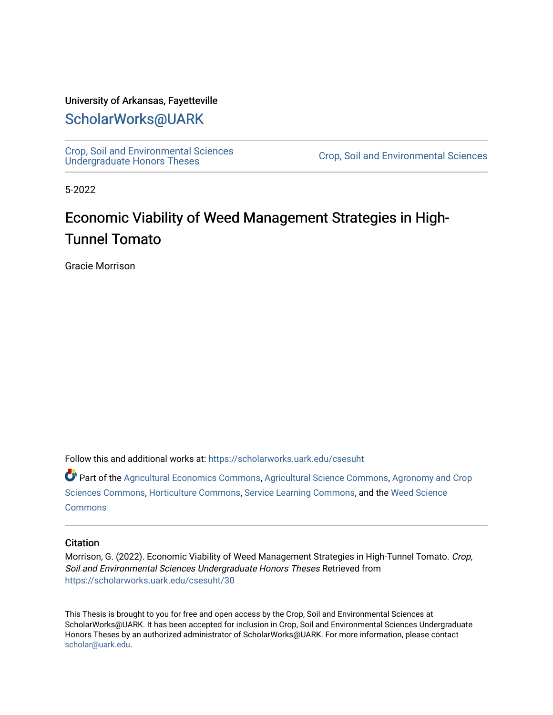### University of Arkansas, Fayetteville

# [ScholarWorks@UARK](https://scholarworks.uark.edu/)

[Crop, Soil and Environmental Sciences](https://scholarworks.uark.edu/csesuht) 

Crop, Soil and Environmental Sciences

5-2022

# Economic Viability of Weed Management Strategies in High-Tunnel Tomato

Gracie Morrison

Follow this and additional works at: [https://scholarworks.uark.edu/csesuht](https://scholarworks.uark.edu/csesuht?utm_source=scholarworks.uark.edu%2Fcsesuht%2F30&utm_medium=PDF&utm_campaign=PDFCoverPages)

Part of the [Agricultural Economics Commons,](http://network.bepress.com/hgg/discipline/1225?utm_source=scholarworks.uark.edu%2Fcsesuht%2F30&utm_medium=PDF&utm_campaign=PDFCoverPages) [Agricultural Science Commons,](http://network.bepress.com/hgg/discipline/1063?utm_source=scholarworks.uark.edu%2Fcsesuht%2F30&utm_medium=PDF&utm_campaign=PDFCoverPages) [Agronomy and Crop](http://network.bepress.com/hgg/discipline/103?utm_source=scholarworks.uark.edu%2Fcsesuht%2F30&utm_medium=PDF&utm_campaign=PDFCoverPages)  [Sciences Commons,](http://network.bepress.com/hgg/discipline/103?utm_source=scholarworks.uark.edu%2Fcsesuht%2F30&utm_medium=PDF&utm_campaign=PDFCoverPages) [Horticulture Commons](http://network.bepress.com/hgg/discipline/105?utm_source=scholarworks.uark.edu%2Fcsesuht%2F30&utm_medium=PDF&utm_campaign=PDFCoverPages), [Service Learning Commons](http://network.bepress.com/hgg/discipline/1024?utm_source=scholarworks.uark.edu%2Fcsesuht%2F30&utm_medium=PDF&utm_campaign=PDFCoverPages), and the [Weed Science](http://network.bepress.com/hgg/discipline/1267?utm_source=scholarworks.uark.edu%2Fcsesuht%2F30&utm_medium=PDF&utm_campaign=PDFCoverPages) **[Commons](http://network.bepress.com/hgg/discipline/1267?utm_source=scholarworks.uark.edu%2Fcsesuht%2F30&utm_medium=PDF&utm_campaign=PDFCoverPages)** 

#### **Citation**

Morrison, G. (2022). Economic Viability of Weed Management Strategies in High-Tunnel Tomato. Crop, Soil and Environmental Sciences Undergraduate Honors Theses Retrieved from [https://scholarworks.uark.edu/csesuht/30](https://scholarworks.uark.edu/csesuht/30?utm_source=scholarworks.uark.edu%2Fcsesuht%2F30&utm_medium=PDF&utm_campaign=PDFCoverPages) 

This Thesis is brought to you for free and open access by the Crop, Soil and Environmental Sciences at ScholarWorks@UARK. It has been accepted for inclusion in Crop, Soil and Environmental Sciences Undergraduate Honors Theses by an authorized administrator of ScholarWorks@UARK. For more information, please contact [scholar@uark.edu](mailto:scholar@uark.edu).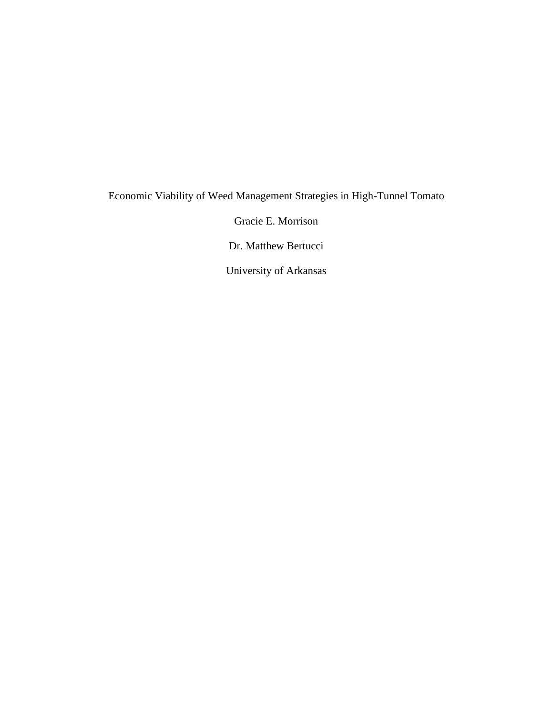# Economic Viability of Weed Management Strategies in High-Tunnel Tomato

Gracie E. Morrison

Dr. Matthew Bertucci

University of Arkansas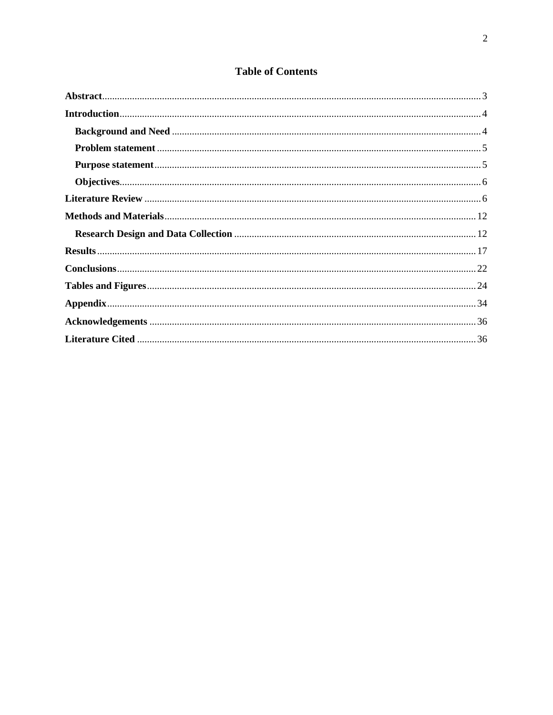## **Table of Contents**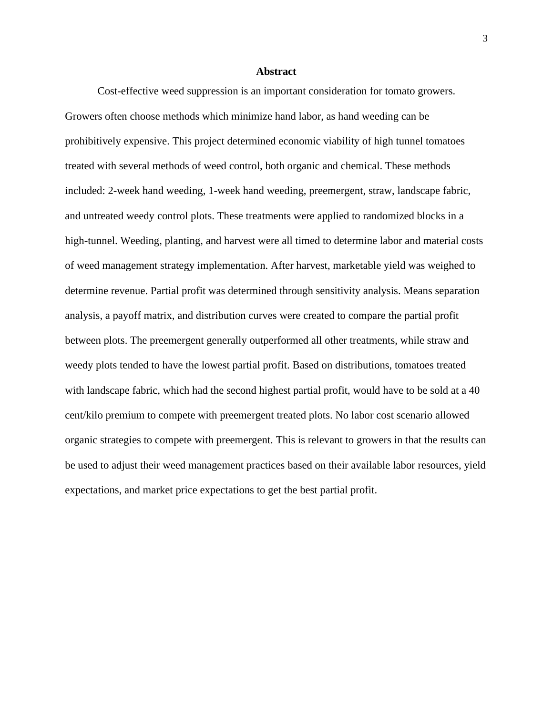#### **Abstract**

<span id="page-3-0"></span>Cost-effective weed suppression is an important consideration for tomato growers. Growers often choose methods which minimize hand labor, as hand weeding can be prohibitively expensive. This project determined economic viability of high tunnel tomatoes treated with several methods of weed control, both organic and chemical. These methods included: 2-week hand weeding, 1-week hand weeding, preemergent, straw, landscape fabric, and untreated weedy control plots. These treatments were applied to randomized blocks in a high-tunnel. Weeding, planting, and harvest were all timed to determine labor and material costs of weed management strategy implementation. After harvest, marketable yield was weighed to determine revenue. Partial profit was determined through sensitivity analysis. Means separation analysis, a payoff matrix, and distribution curves were created to compare the partial profit between plots. The preemergent generally outperformed all other treatments, while straw and weedy plots tended to have the lowest partial profit. Based on distributions, tomatoes treated with landscape fabric, which had the second highest partial profit, would have to be sold at a 40 cent/kilo premium to compete with preemergent treated plots. No labor cost scenario allowed organic strategies to compete with preemergent. This is relevant to growers in that the results can be used to adjust their weed management practices based on their available labor resources, yield expectations, and market price expectations to get the best partial profit.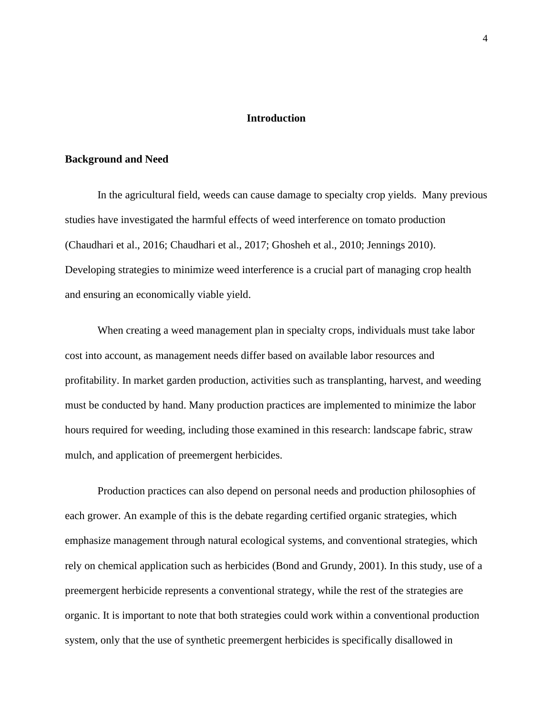#### **Introduction**

#### <span id="page-4-1"></span><span id="page-4-0"></span>**Background and Need**

In the agricultural field, weeds can cause damage to specialty crop yields. Many previous studies have investigated the harmful effects of weed interference on tomato production (Chaudhari et al., 2016; Chaudhari et al., 2017; Ghosheh et al., 2010; Jennings 2010). Developing strategies to minimize weed interference is a crucial part of managing crop health and ensuring an economically viable yield.

When creating a weed management plan in specialty crops, individuals must take labor cost into account, as management needs differ based on available labor resources and profitability. In market garden production, activities such as transplanting, harvest, and weeding must be conducted by hand. Many production practices are implemented to minimize the labor hours required for weeding, including those examined in this research: landscape fabric, straw mulch, and application of preemergent herbicides.

Production practices can also depend on personal needs and production philosophies of each grower. An example of this is the debate regarding certified organic strategies, which emphasize management through natural ecological systems, and conventional strategies, which rely on chemical application such as herbicides (Bond and Grundy, 2001). In this study, use of a preemergent herbicide represents a conventional strategy, while the rest of the strategies are organic. It is important to note that both strategies could work within a conventional production system, only that the use of synthetic preemergent herbicides is specifically disallowed in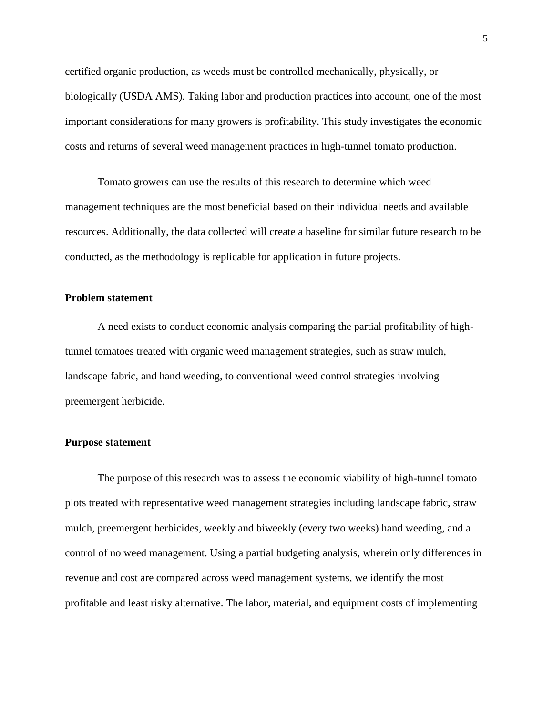certified organic production, as weeds must be controlled mechanically, physically, or biologically (USDA AMS). Taking labor and production practices into account, one of the most important considerations for many growers is profitability. This study investigates the economic costs and returns of several weed management practices in high-tunnel tomato production.

Tomato growers can use the results of this research to determine which weed management techniques are the most beneficial based on their individual needs and available resources. Additionally, the data collected will create a baseline for similar future research to be conducted, as the methodology is replicable for application in future projects.

#### <span id="page-5-0"></span>**Problem statement**

A need exists to conduct economic analysis comparing the partial profitability of hightunnel tomatoes treated with organic weed management strategies, such as straw mulch, landscape fabric, and hand weeding, to conventional weed control strategies involving preemergent herbicide.

#### <span id="page-5-1"></span>**Purpose statement**

The purpose of this research was to assess the economic viability of high-tunnel tomato plots treated with representative weed management strategies including landscape fabric, straw mulch, preemergent herbicides, weekly and biweekly (every two weeks) hand weeding, and a control of no weed management. Using a partial budgeting analysis, wherein only differences in revenue and cost are compared across weed management systems, we identify the most profitable and least risky alternative. The labor, material, and equipment costs of implementing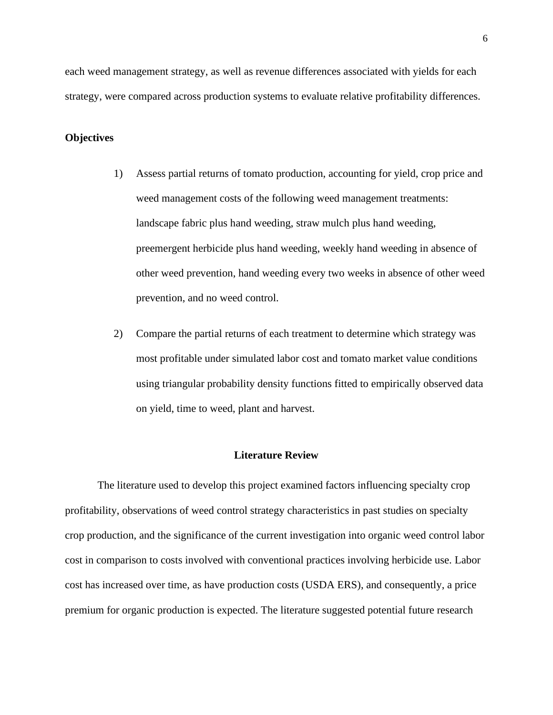each weed management strategy, as well as revenue differences associated with yields for each strategy, were compared across production systems to evaluate relative profitability differences.

#### <span id="page-6-0"></span>**Objectives**

- 1) Assess partial returns of tomato production, accounting for yield, crop price and weed management costs of the following weed management treatments: landscape fabric plus hand weeding, straw mulch plus hand weeding, preemergent herbicide plus hand weeding, weekly hand weeding in absence of other weed prevention, hand weeding every two weeks in absence of other weed prevention, and no weed control.
- 2) Compare the partial returns of each treatment to determine which strategy was most profitable under simulated labor cost and tomato market value conditions using triangular probability density functions fitted to empirically observed data on yield, time to weed, plant and harvest.

#### **Literature Review**

<span id="page-6-1"></span>The literature used to develop this project examined factors influencing specialty crop profitability, observations of weed control strategy characteristics in past studies on specialty crop production, and the significance of the current investigation into organic weed control labor cost in comparison to costs involved with conventional practices involving herbicide use. Labor cost has increased over time, as have production costs (USDA ERS), and consequently, a price premium for organic production is expected. The literature suggested potential future research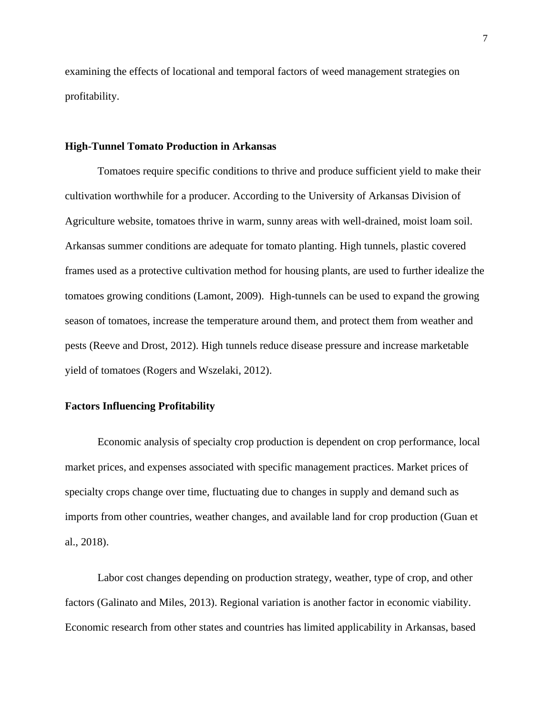examining the effects of locational and temporal factors of weed management strategies on profitability.

#### **High-Tunnel Tomato Production in Arkansas**

Tomatoes require specific conditions to thrive and produce sufficient yield to make their cultivation worthwhile for a producer. According to the University of Arkansas Division of Agriculture website, tomatoes thrive in warm, sunny areas with well-drained, moist loam soil. Arkansas summer conditions are adequate for tomato planting. High tunnels, plastic covered frames used as a protective cultivation method for housing plants, are used to further idealize the tomatoes growing conditions (Lamont, 2009). High-tunnels can be used to expand the growing season of tomatoes, increase the temperature around them, and protect them from weather and pests (Reeve and Drost, 2012). High tunnels reduce disease pressure and increase marketable yield of tomatoes (Rogers and Wszelaki, 2012).

#### **Factors Influencing Profitability**

Economic analysis of specialty crop production is dependent on crop performance, local market prices, and expenses associated with specific management practices. Market prices of specialty crops change over time, fluctuating due to changes in supply and demand such as imports from other countries, weather changes, and available land for crop production (Guan et al., 2018).

Labor cost changes depending on production strategy, weather, type of crop, and other factors (Galinato and Miles, 2013). Regional variation is another factor in economic viability. Economic research from other states and countries has limited applicability in Arkansas, based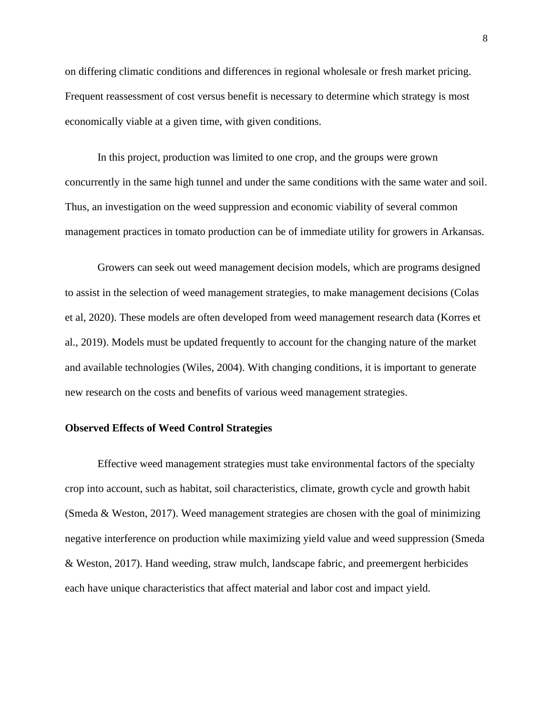on differing climatic conditions and differences in regional wholesale or fresh market pricing. Frequent reassessment of cost versus benefit is necessary to determine which strategy is most economically viable at a given time, with given conditions.

In this project, production was limited to one crop, and the groups were grown concurrently in the same high tunnel and under the same conditions with the same water and soil. Thus, an investigation on the weed suppression and economic viability of several common management practices in tomato production can be of immediate utility for growers in Arkansas.

Growers can seek out weed management decision models, which are programs designed to assist in the selection of weed management strategies, to make management decisions (Colas et al, 2020). These models are often developed from weed management research data (Korres et al., 2019). Models must be updated frequently to account for the changing nature of the market and available technologies (Wiles, 2004). With changing conditions, it is important to generate new research on the costs and benefits of various weed management strategies.

#### **Observed Effects of Weed Control Strategies**

Effective weed management strategies must take environmental factors of the specialty crop into account, such as habitat, soil characteristics, climate, growth cycle and growth habit (Smeda & Weston, 2017). Weed management strategies are chosen with the goal of minimizing negative interference on production while maximizing yield value and weed suppression (Smeda & Weston, 2017). Hand weeding, straw mulch, landscape fabric, and preemergent herbicides each have unique characteristics that affect material and labor cost and impact yield.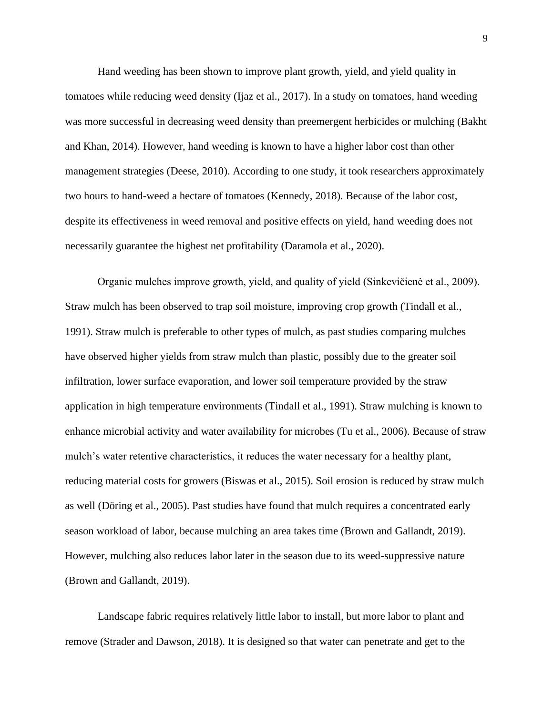Hand weeding has been shown to improve plant growth, yield, and yield quality in tomatoes while reducing weed density (Ijaz et al., 2017). In a study on tomatoes, hand weeding was more successful in decreasing weed density than preemergent herbicides or mulching (Bakht and Khan, 2014). However, hand weeding is known to have a higher labor cost than other management strategies (Deese, 2010). According to one study, it took researchers approximately two hours to hand-weed a hectare of tomatoes (Kennedy, 2018). Because of the labor cost, despite its effectiveness in weed removal and positive effects on yield, hand weeding does not necessarily guarantee the highest net profitability (Daramola et al., 2020).

Organic mulches improve growth, yield, and quality of yield (Sinkevičienė et al., 2009). Straw mulch has been observed to trap soil moisture, improving crop growth (Tindall et al., 1991). Straw mulch is preferable to other types of mulch, as past studies comparing mulches have observed higher yields from straw mulch than plastic, possibly due to the greater soil infiltration, lower surface evaporation, and lower soil temperature provided by the straw application in high temperature environments (Tindall et al., 1991). Straw mulching is known to enhance microbial activity and water availability for microbes (Tu et al., 2006). Because of straw mulch's water retentive characteristics, it reduces the water necessary for a healthy plant, reducing material costs for growers (Biswas et al., 2015). Soil erosion is reduced by straw mulch as well (Döring et al., 2005). Past studies have found that mulch requires a concentrated early season workload of labor, because mulching an area takes time (Brown and Gallandt, 2019). However, mulching also reduces labor later in the season due to its weed-suppressive nature (Brown and Gallandt, 2019).

Landscape fabric requires relatively little labor to install, but more labor to plant and remove (Strader and Dawson, 2018). It is designed so that water can penetrate and get to the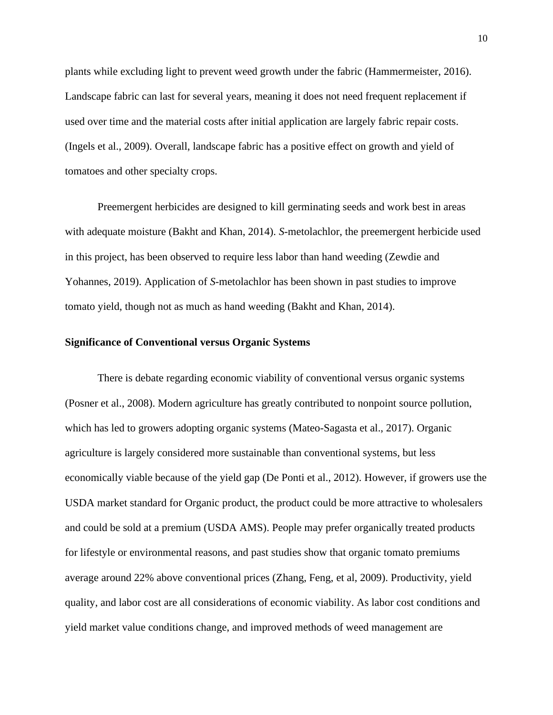plants while excluding light to prevent weed growth under the fabric (Hammermeister, 2016). Landscape fabric can last for several years, meaning it does not need frequent replacement if used over time and the material costs after initial application are largely fabric repair costs. (Ingels et al., 2009). Overall, landscape fabric has a positive effect on growth and yield of tomatoes and other specialty crops.

Preemergent herbicides are designed to kill germinating seeds and work best in areas with adequate moisture (Bakht and Khan, 2014). *S*-metolachlor, the preemergent herbicide used in this project, has been observed to require less labor than hand weeding (Zewdie and Yohannes, 2019). Application of *S*-metolachlor has been shown in past studies to improve tomato yield, though not as much as hand weeding (Bakht and Khan, 2014).

#### **Significance of Conventional versus Organic Systems**

There is debate regarding economic viability of conventional versus organic systems (Posner et al., 2008). Modern agriculture has greatly contributed to nonpoint source pollution, which has led to growers adopting organic systems (Mateo-Sagasta et al., 2017). Organic agriculture is largely considered more sustainable than conventional systems, but less economically viable because of the yield gap (De Ponti et al., 2012). However, if growers use the USDA market standard for Organic product, the product could be more attractive to wholesalers and could be sold at a premium (USDA AMS). People may prefer organically treated products for lifestyle or environmental reasons, and past studies show that organic tomato premiums average around 22% above conventional prices (Zhang, Feng, et al, 2009). Productivity, yield quality, and labor cost are all considerations of economic viability. As labor cost conditions and yield market value conditions change, and improved methods of weed management are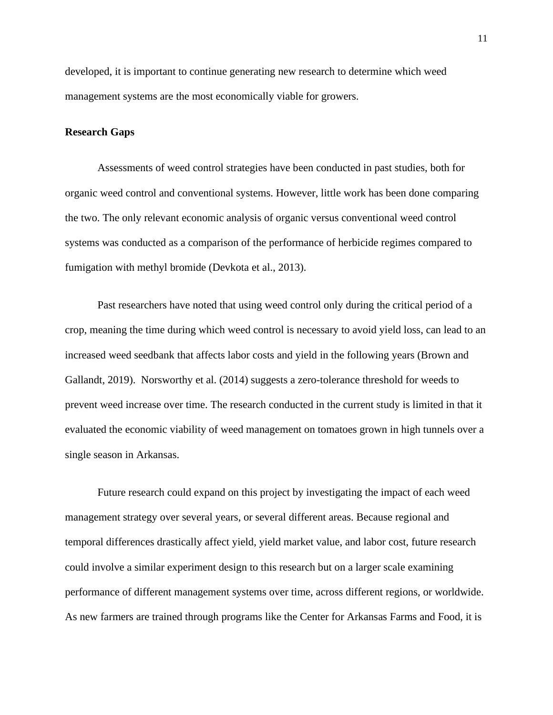developed, it is important to continue generating new research to determine which weed management systems are the most economically viable for growers.

#### **Research Gaps**

Assessments of weed control strategies have been conducted in past studies, both for organic weed control and conventional systems. However, little work has been done comparing the two. The only relevant economic analysis of organic versus conventional weed control systems was conducted as a comparison of the performance of herbicide regimes compared to fumigation with methyl bromide (Devkota et al., 2013).

Past researchers have noted that using weed control only during the critical period of a crop, meaning the time during which weed control is necessary to avoid yield loss, can lead to an increased weed seedbank that affects labor costs and yield in the following years (Brown and Gallandt, 2019). Norsworthy et al. (2014) suggests a zero-tolerance threshold for weeds to prevent weed increase over time. The research conducted in the current study is limited in that it evaluated the economic viability of weed management on tomatoes grown in high tunnels over a single season in Arkansas.

Future research could expand on this project by investigating the impact of each weed management strategy over several years, or several different areas. Because regional and temporal differences drastically affect yield, yield market value, and labor cost, future research could involve a similar experiment design to this research but on a larger scale examining performance of different management systems over time, across different regions, or worldwide. As new farmers are trained through programs like the Center for Arkansas Farms and Food, it is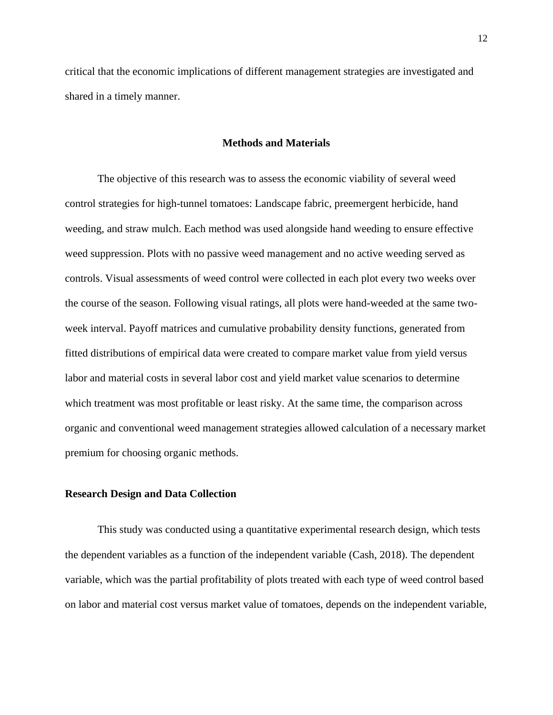critical that the economic implications of different management strategies are investigated and shared in a timely manner.

#### **Methods and Materials**

<span id="page-12-0"></span>The objective of this research was to assess the economic viability of several weed control strategies for high-tunnel tomatoes: Landscape fabric, preemergent herbicide, hand weeding, and straw mulch. Each method was used alongside hand weeding to ensure effective weed suppression. Plots with no passive weed management and no active weeding served as controls. Visual assessments of weed control were collected in each plot every two weeks over the course of the season. Following visual ratings, all plots were hand-weeded at the same twoweek interval. Payoff matrices and cumulative probability density functions, generated from fitted distributions of empirical data were created to compare market value from yield versus labor and material costs in several labor cost and yield market value scenarios to determine which treatment was most profitable or least risky. At the same time, the comparison across organic and conventional weed management strategies allowed calculation of a necessary market premium for choosing organic methods.

#### <span id="page-12-1"></span>**Research Design and Data Collection**

This study was conducted using a quantitative experimental research design, which tests the dependent variables as a function of the independent variable (Cash, 2018). The dependent variable, which was the partial profitability of plots treated with each type of weed control based on labor and material cost versus market value of tomatoes, depends on the independent variable,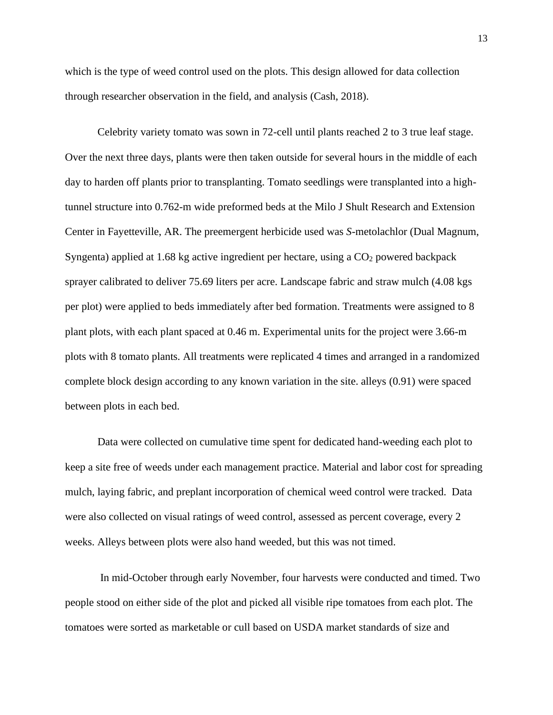which is the type of weed control used on the plots. This design allowed for data collection through researcher observation in the field, and analysis (Cash, 2018).

Celebrity variety tomato was sown in 72-cell until plants reached 2 to 3 true leaf stage. Over the next three days, plants were then taken outside for several hours in the middle of each day to harden off plants prior to transplanting. Tomato seedlings were transplanted into a hightunnel structure into 0.762-m wide preformed beds at the Milo J Shult Research and Extension Center in Fayetteville, AR. The preemergent herbicide used was *S*-metolachlor (Dual Magnum, Syngenta) applied at 1.68 kg active ingredient per hectare, using a  $CO<sub>2</sub>$  powered backpack sprayer calibrated to deliver 75.69 liters per acre. Landscape fabric and straw mulch (4.08 kgs per plot) were applied to beds immediately after bed formation. Treatments were assigned to 8 plant plots, with each plant spaced at 0.46 m. Experimental units for the project were 3.66-m plots with 8 tomato plants. All treatments were replicated 4 times and arranged in a randomized complete block design according to any known variation in the site. alleys (0.91) were spaced between plots in each bed.

Data were collected on cumulative time spent for dedicated hand-weeding each plot to keep a site free of weeds under each management practice. Material and labor cost for spreading mulch, laying fabric, and preplant incorporation of chemical weed control were tracked. Data were also collected on visual ratings of weed control, assessed as percent coverage, every 2 weeks. Alleys between plots were also hand weeded, but this was not timed.

In mid-October through early November, four harvests were conducted and timed. Two people stood on either side of the plot and picked all visible ripe tomatoes from each plot. The tomatoes were sorted as marketable or cull based on USDA market standards of size and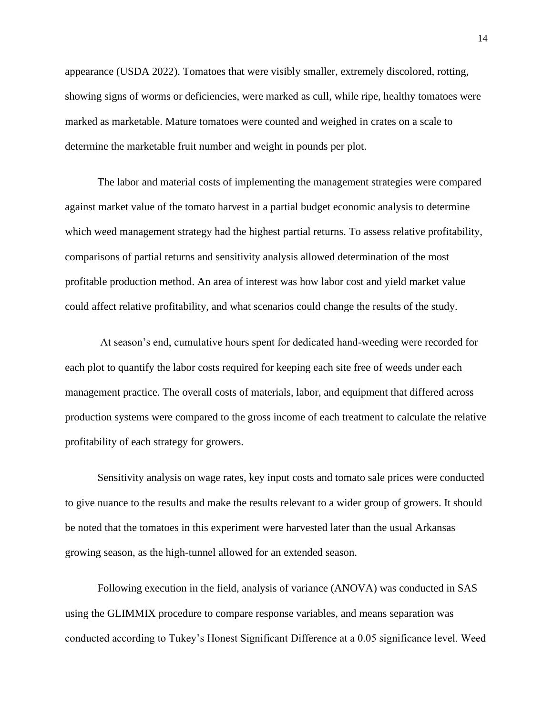appearance (USDA 2022). Tomatoes that were visibly smaller, extremely discolored, rotting, showing signs of worms or deficiencies, were marked as cull, while ripe, healthy tomatoes were marked as marketable. Mature tomatoes were counted and weighed in crates on a scale to determine the marketable fruit number and weight in pounds per plot.

The labor and material costs of implementing the management strategies were compared against market value of the tomato harvest in a partial budget economic analysis to determine which weed management strategy had the highest partial returns. To assess relative profitability, comparisons of partial returns and sensitivity analysis allowed determination of the most profitable production method. An area of interest was how labor cost and yield market value could affect relative profitability, and what scenarios could change the results of the study.

At season's end, cumulative hours spent for dedicated hand-weeding were recorded for each plot to quantify the labor costs required for keeping each site free of weeds under each management practice. The overall costs of materials, labor, and equipment that differed across production systems were compared to the gross income of each treatment to calculate the relative profitability of each strategy for growers.

Sensitivity analysis on wage rates, key input costs and tomato sale prices were conducted to give nuance to the results and make the results relevant to a wider group of growers. It should be noted that the tomatoes in this experiment were harvested later than the usual Arkansas growing season, as the high-tunnel allowed for an extended season.

Following execution in the field, analysis of variance (ANOVA) was conducted in SAS using the GLIMMIX procedure to compare response variables, and means separation was conducted according to Tukey's Honest Significant Difference at a 0.05 significance level. Weed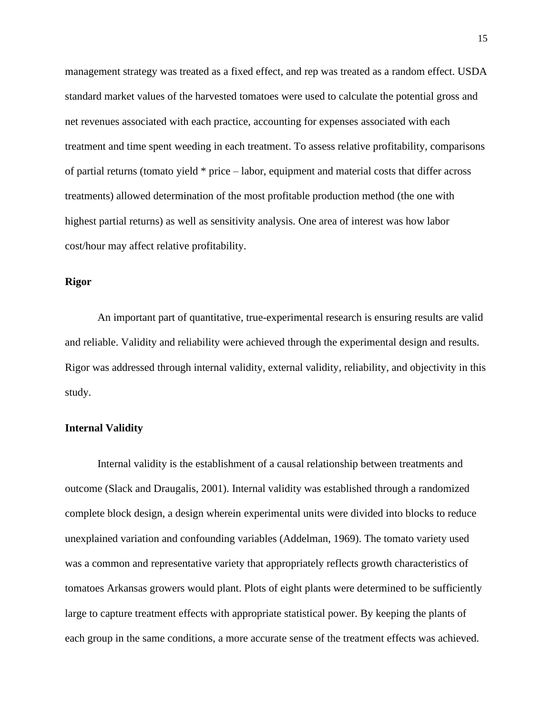management strategy was treated as a fixed effect, and rep was treated as a random effect. USDA standard market values of the harvested tomatoes were used to calculate the potential gross and net revenues associated with each practice, accounting for expenses associated with each treatment and time spent weeding in each treatment. To assess relative profitability, comparisons of partial returns (tomato yield \* price – labor, equipment and material costs that differ across treatments) allowed determination of the most profitable production method (the one with highest partial returns) as well as sensitivity analysis. One area of interest was how labor cost/hour may affect relative profitability.

#### **Rigor**

An important part of quantitative, true-experimental research is ensuring results are valid and reliable. Validity and reliability were achieved through the experimental design and results. Rigor was addressed through internal validity, external validity, reliability, and objectivity in this study.

#### **Internal Validity**

Internal validity is the establishment of a causal relationship between treatments and outcome (Slack and Draugalis, 2001). Internal validity was established through a randomized complete block design, a design wherein experimental units were divided into blocks to reduce unexplained variation and confounding variables (Addelman, 1969). The tomato variety used was a common and representative variety that appropriately reflects growth characteristics of tomatoes Arkansas growers would plant. Plots of eight plants were determined to be sufficiently large to capture treatment effects with appropriate statistical power. By keeping the plants of each group in the same conditions, a more accurate sense of the treatment effects was achieved.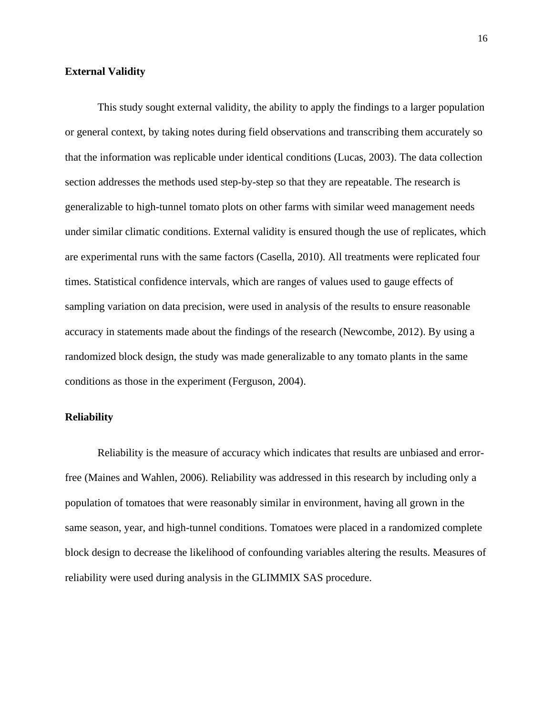#### **External Validity**

This study sought external validity, the ability to apply the findings to a larger population or general context, by taking notes during field observations and transcribing them accurately so that the information was replicable under identical conditions (Lucas, 2003). The data collection section addresses the methods used step-by-step so that they are repeatable. The research is generalizable to high-tunnel tomato plots on other farms with similar weed management needs under similar climatic conditions. External validity is ensured though the use of replicates, which are experimental runs with the same factors (Casella, 2010). All treatments were replicated four times. Statistical confidence intervals, which are ranges of values used to gauge effects of sampling variation on data precision, were used in analysis of the results to ensure reasonable accuracy in statements made about the findings of the research (Newcombe, 2012). By using a randomized block design, the study was made generalizable to any tomato plants in the same conditions as those in the experiment (Ferguson, 2004).

#### **Reliability**

Reliability is the measure of accuracy which indicates that results are unbiased and errorfree (Maines and Wahlen, 2006). Reliability was addressed in this research by including only a population of tomatoes that were reasonably similar in environment, having all grown in the same season, year, and high-tunnel conditions. Tomatoes were placed in a randomized complete block design to decrease the likelihood of confounding variables altering the results. Measures of reliability were used during analysis in the GLIMMIX SAS procedure.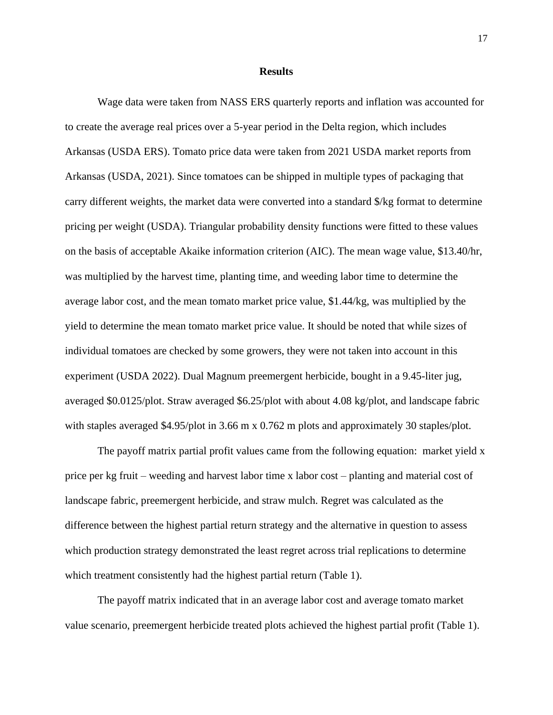#### **Results**

<span id="page-17-0"></span>Wage data were taken from NASS ERS quarterly reports and inflation was accounted for to create the average real prices over a 5-year period in the Delta region, which includes Arkansas (USDA ERS). Tomato price data were taken from 2021 USDA market reports from Arkansas (USDA, 2021). Since tomatoes can be shipped in multiple types of packaging that carry different weights, the market data were converted into a standard \$/kg format to determine pricing per weight (USDA). Triangular probability density functions were fitted to these values on the basis of acceptable Akaike information criterion (AIC). The mean wage value, \$13.40/hr, was multiplied by the harvest time, planting time, and weeding labor time to determine the average labor cost, and the mean tomato market price value, \$1.44/kg, was multiplied by the yield to determine the mean tomato market price value. It should be noted that while sizes of individual tomatoes are checked by some growers, they were not taken into account in this experiment (USDA 2022). Dual Magnum preemergent herbicide, bought in a 9.45-liter jug, averaged \$0.0125/plot. Straw averaged \$6.25/plot with about 4.08 kg/plot, and landscape fabric with staples averaged \$4.95/plot in 3.66 m x 0.762 m plots and approximately 30 staples/plot.

The payoff matrix partial profit values came from the following equation: market yield x price per kg fruit – weeding and harvest labor time x labor cost – planting and material cost of landscape fabric, preemergent herbicide, and straw mulch. Regret was calculated as the difference between the highest partial return strategy and the alternative in question to assess which production strategy demonstrated the least regret across trial replications to determine which treatment consistently had the highest partial return (Table 1).

The payoff matrix indicated that in an average labor cost and average tomato market value scenario, preemergent herbicide treated plots achieved the highest partial profit (Table 1).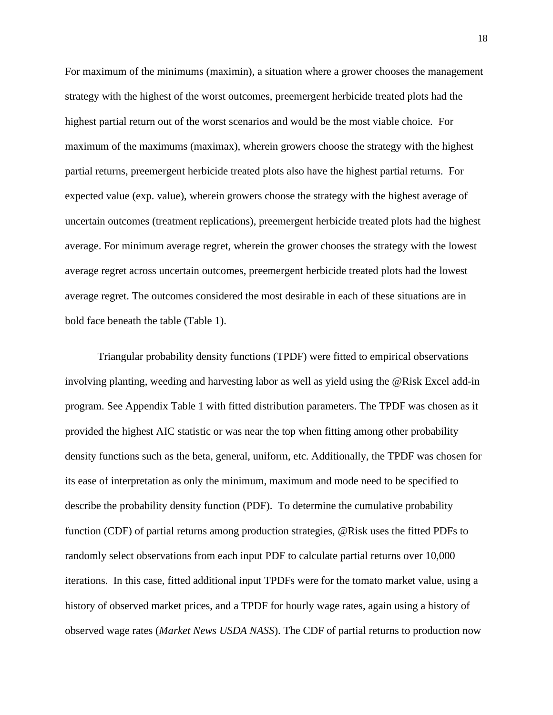For maximum of the minimums (maximin), a situation where a grower chooses the management strategy with the highest of the worst outcomes, preemergent herbicide treated plots had the highest partial return out of the worst scenarios and would be the most viable choice. For maximum of the maximums (maximax), wherein growers choose the strategy with the highest partial returns, preemergent herbicide treated plots also have the highest partial returns. For expected value (exp. value), wherein growers choose the strategy with the highest average of uncertain outcomes (treatment replications), preemergent herbicide treated plots had the highest average. For minimum average regret, wherein the grower chooses the strategy with the lowest average regret across uncertain outcomes, preemergent herbicide treated plots had the lowest average regret. The outcomes considered the most desirable in each of these situations are in bold face beneath the table (Table 1).

Triangular probability density functions (TPDF) were fitted to empirical observations involving planting, weeding and harvesting labor as well as yield using the @Risk Excel add-in program. See Appendix Table 1 with fitted distribution parameters. The TPDF was chosen as it provided the highest AIC statistic or was near the top when fitting among other probability density functions such as the beta, general, uniform, etc. Additionally, the TPDF was chosen for its ease of interpretation as only the minimum, maximum and mode need to be specified to describe the probability density function (PDF). To determine the cumulative probability function (CDF) of partial returns among production strategies, @Risk uses the fitted PDFs to randomly select observations from each input PDF to calculate partial returns over 10,000 iterations. In this case, fitted additional input TPDFs were for the tomato market value, using a history of observed market prices, and a TPDF for hourly wage rates, again using a history of observed wage rates (*Market News USDA NASS*). The CDF of partial returns to production now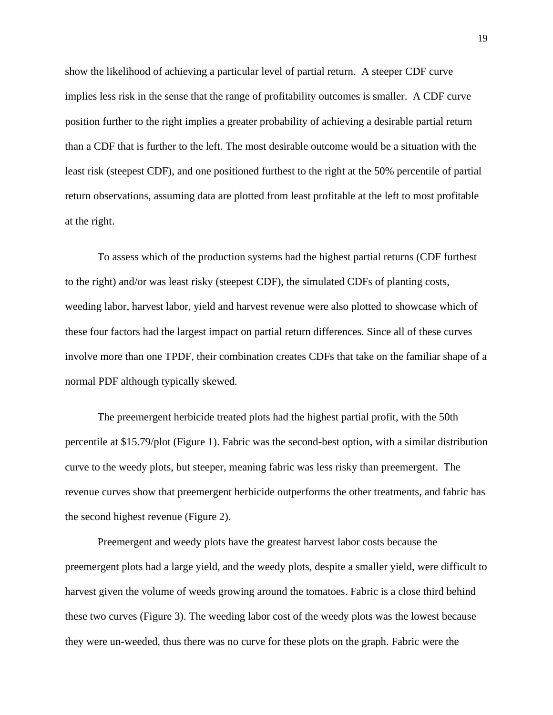show the likelihood of achieving a particular level of partial return. A steeper CDF curve implies less risk in the sense that the range of profitability outcomes is smaller. A CDF curve position further to the right implies a greater probability of achieving a desirable partial return than a CDF that is further to the left. The most desirable outcome would be a situation with the least risk (steepest CDF), and one positioned furthest to the right at the 50% percentile of partial return observations, assuming data are plotted from least profitable at the left to most profitable at the right.

To assess which of the production systems had the highest partial returns (CDF furthest to the right) and/or was least risky (steepest CDF), the simulated CDFs of planting costs, weeding labor, harvest labor, yield and harvest revenue were also plotted to showcase which of these four factors had the largest impact on partial return differences. Since all of these curves involve more than one TPDF, their combination creates CDFs that take on the familiar shape of a normal PDF although typically skewed.

The preemergent herbicide treated plots had the highest partial profit, with the 50th percentile at \$15.79/plot (Figure 1). Fabric was the second-best option, with a similar distribution curve to the weedy plots, but steeper, meaning fabric was less risky than preemergent. The revenue curves show that preemergent herbicide outperforms the other treatments, and fabric has the second highest revenue (Figure 2).

Preemergent and weedy plots have the greatest harvest labor costs because the preemergent plots had a large yield, and the weedy plots, despite a smaller yield, were difficult to harvest given the volume of weeds growing around the tomatoes. Fabric is a close third behind these two curves (Figure 3). The weeding labor cost of the weedy plots was the lowest because they were un-weeded, thus there was no curve for these plots on the graph. Fabric were the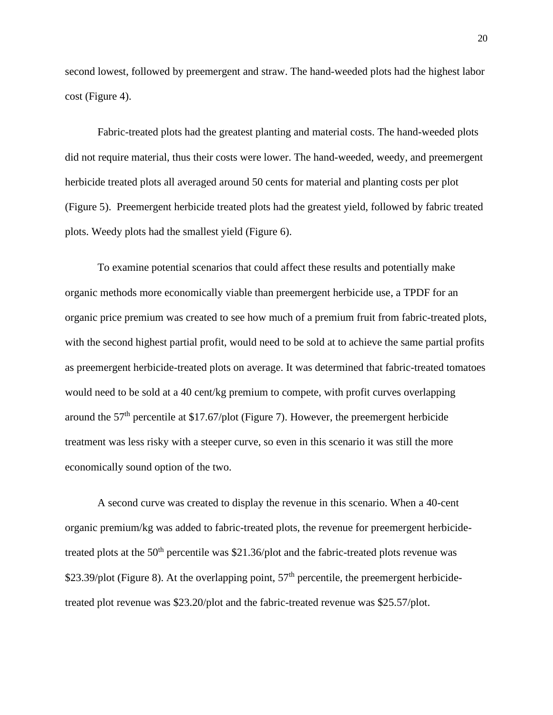second lowest, followed by preemergent and straw. The hand-weeded plots had the highest labor cost (Figure 4).

Fabric-treated plots had the greatest planting and material costs. The hand-weeded plots did not require material, thus their costs were lower. The hand-weeded, weedy, and preemergent herbicide treated plots all averaged around 50 cents for material and planting costs per plot (Figure 5). Preemergent herbicide treated plots had the greatest yield, followed by fabric treated plots. Weedy plots had the smallest yield (Figure 6).

To examine potential scenarios that could affect these results and potentially make organic methods more economically viable than preemergent herbicide use, a TPDF for an organic price premium was created to see how much of a premium fruit from fabric-treated plots, with the second highest partial profit, would need to be sold at to achieve the same partial profits as preemergent herbicide-treated plots on average. It was determined that fabric-treated tomatoes would need to be sold at a 40 cent/kg premium to compete, with profit curves overlapping around the  $57<sup>th</sup>$  percentile at \$17.67/plot (Figure 7). However, the preemergent herbicide treatment was less risky with a steeper curve, so even in this scenario it was still the more economically sound option of the two.

A second curve was created to display the revenue in this scenario. When a 40-cent organic premium/kg was added to fabric-treated plots, the revenue for preemergent herbicidetreated plots at the  $50<sup>th</sup>$  percentile was \$21.36/plot and the fabric-treated plots revenue was \$23.39/plot (Figure 8). At the overlapping point,  $57<sup>th</sup>$  percentile, the preemergent herbicidetreated plot revenue was \$23.20/plot and the fabric-treated revenue was \$25.57/plot.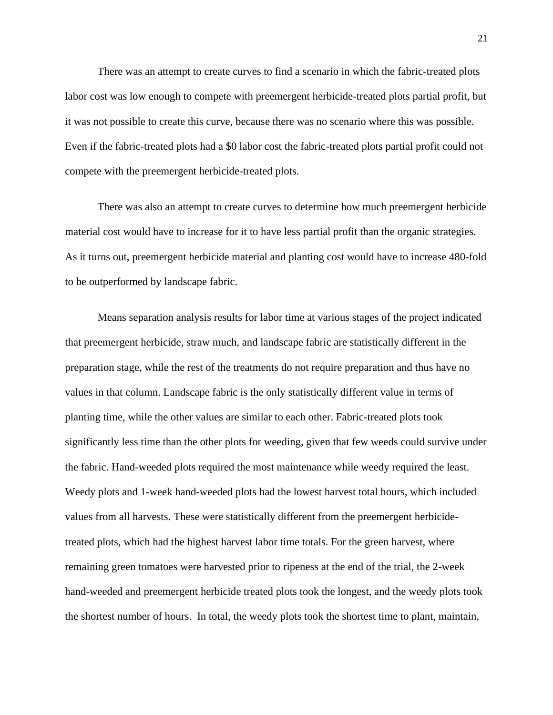There was an attempt to create curves to find a scenario in which the fabric-treated plots labor cost was low enough to compete with preemergent herbicide-treated plots partial profit, but it was not possible to create this curve, because there was no scenario where this was possible. Even if the fabric-treated plots had a \$0 labor cost the fabric-treated plots partial profit could not compete with the preemergent herbicide-treated plots.

There was also an attempt to create curves to determine how much preemergent herbicide material cost would have to increase for it to have less partial profit than the organic strategies. As it turns out, preemergent herbicide material and planting cost would have to increase 480-fold to be outperformed by landscape fabric.

Means separation analysis results for labor time at various stages of the project indicated that preemergent herbicide, straw much, and landscape fabric are statistically different in the preparation stage, while the rest of the treatments do not require preparation and thus have no values in that column. Landscape fabric is the only statistically different value in terms of planting time, while the other values are similar to each other. Fabric-treated plots took significantly less time than the other plots for weeding, given that few weeds could survive under the fabric. Hand-weeded plots required the most maintenance while weedy required the least. Weedy plots and 1-week hand-weeded plots had the lowest harvest total hours, which included values from all harvests. These were statistically different from the preemergent herbicidetreated plots, which had the highest harvest labor time totals. For the green harvest, where remaining green tomatoes were harvested prior to ripeness at the end of the trial, the 2-week hand-weeded and preemergent herbicide treated plots took the longest, and the weedy plots took the shortest number of hours. In total, the weedy plots took the shortest time to plant, maintain,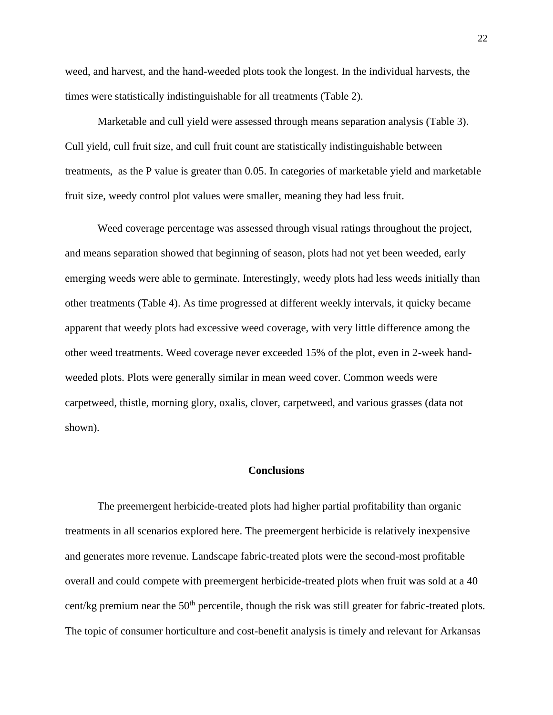weed, and harvest, and the hand-weeded plots took the longest. In the individual harvests, the times were statistically indistinguishable for all treatments (Table 2).

Marketable and cull yield were assessed through means separation analysis (Table 3). Cull yield, cull fruit size, and cull fruit count are statistically indistinguishable between treatments, as the P value is greater than 0.05. In categories of marketable yield and marketable fruit size, weedy control plot values were smaller, meaning they had less fruit.

Weed coverage percentage was assessed through visual ratings throughout the project, and means separation showed that beginning of season, plots had not yet been weeded, early emerging weeds were able to germinate. Interestingly, weedy plots had less weeds initially than other treatments (Table 4). As time progressed at different weekly intervals, it quicky became apparent that weedy plots had excessive weed coverage, with very little difference among the other weed treatments. Weed coverage never exceeded 15% of the plot, even in 2-week handweeded plots. Plots were generally similar in mean weed cover. Common weeds were carpetweed, thistle, morning glory, oxalis, clover, carpetweed, and various grasses (data not shown).

#### **Conclusions**

<span id="page-22-0"></span>The preemergent herbicide-treated plots had higher partial profitability than organic treatments in all scenarios explored here. The preemergent herbicide is relatively inexpensive and generates more revenue. Landscape fabric-treated plots were the second-most profitable overall and could compete with preemergent herbicide-treated plots when fruit was sold at a 40 cent/kg premium near the  $50<sup>th</sup>$  percentile, though the risk was still greater for fabric-treated plots. The topic of consumer horticulture and cost-benefit analysis is timely and relevant for Arkansas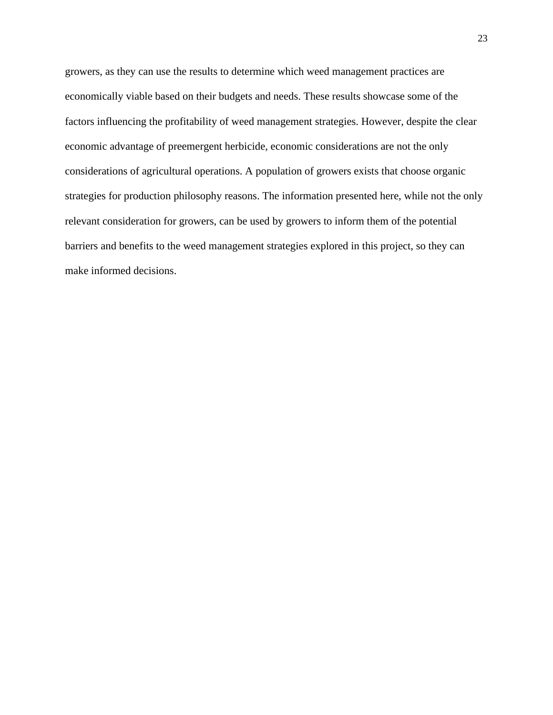growers, as they can use the results to determine which weed management practices are economically viable based on their budgets and needs. These results showcase some of the factors influencing the profitability of weed management strategies. However, despite the clear economic advantage of preemergent herbicide, economic considerations are not the only considerations of agricultural operations. A population of growers exists that choose organic strategies for production philosophy reasons. The information presented here, while not the only relevant consideration for growers, can be used by growers to inform them of the potential barriers and benefits to the weed management strategies explored in this project, so they can make informed decisions.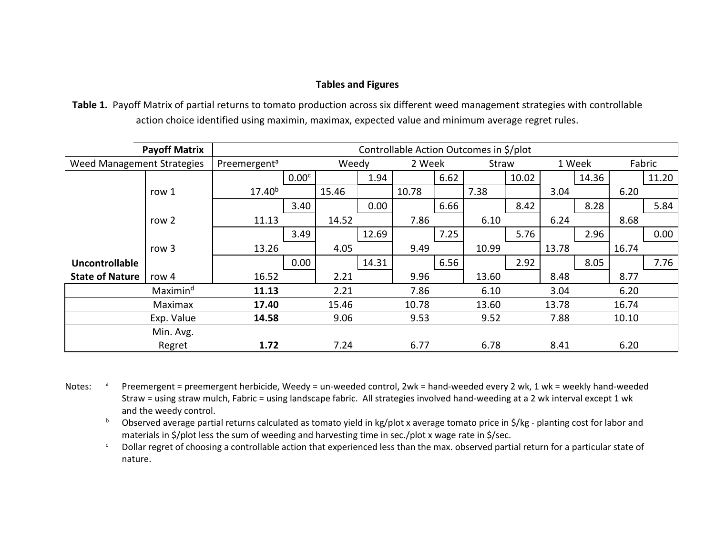### **Tables and Figures**

**Table 1.** Payoff Matrix of partial returns to tomato production across six different weed management strategies with controllable action choice identified using maximin, maximax, expected value and minimum average regret rules.

<span id="page-24-0"></span>

|                            | <b>Payoff Matrix</b> | Controllable Action Outcomes in \$/plot |                   |       |       |       |                 |       |        |       |       |        |       |
|----------------------------|----------------------|-----------------------------------------|-------------------|-------|-------|-------|-----------------|-------|--------|-------|-------|--------|-------|
| Weed Management Strategies |                      | Preemergent <sup>a</sup>                |                   | Weedy |       |       | 2 Week<br>Straw |       | 1 Week |       |       | Fabric |       |
|                            |                      |                                         | 0.00 <sup>c</sup> |       | 1.94  |       | 6.62            |       | 10.02  |       | 14.36 |        | 11.20 |
|                            | row 1                | $17.40^{b}$                             |                   | 15.46 |       | 10.78 |                 | 7.38  |        | 3.04  |       | 6.20   |       |
|                            |                      |                                         | 3.40              |       | 0.00  |       | 6.66            |       | 8.42   |       | 8.28  |        | 5.84  |
|                            | row 2                | 11.13                                   |                   | 14.52 |       | 7.86  |                 | 6.10  |        | 6.24  |       | 8.68   |       |
|                            |                      |                                         | 3.49              |       | 12.69 |       | 7.25            |       | 5.76   |       | 2.96  |        | 0.00  |
|                            | row 3                | 13.26                                   |                   | 4.05  |       | 9.49  |                 | 10.99 |        | 13.78 |       | 16.74  |       |
| <b>Uncontrollable</b>      |                      |                                         | 0.00              |       | 14.31 |       | 6.56            |       | 2.92   |       | 8.05  |        | 7.76  |
| <b>State of Nature</b>     | row 4                | 16.52                                   |                   | 2.21  |       | 9.96  |                 | 13.60 |        | 8.48  |       | 8.77   |       |
|                            | Maximin <sup>d</sup> | 11.13                                   |                   | 2.21  |       | 7.86  |                 | 6.10  |        | 3.04  |       | 6.20   |       |
|                            | Maximax              | 17.40                                   |                   | 15.46 |       | 10.78 |                 | 13.60 |        | 13.78 |       | 16.74  |       |
|                            | Exp. Value           | 14.58                                   |                   | 9.06  |       | 9.53  |                 | 9.52  |        | 7.88  |       | 10.10  |       |
|                            | Min. Avg.            |                                         |                   |       |       |       |                 |       |        |       |       |        |       |
|                            | Regret               | 1.72                                    |                   | 7.24  |       | 6.77  |                 | 6.78  |        | 8.41  |       | 6.20   |       |

Notes: a Preemergent = preemergent herbicide, Weedy = un-weeded control, 2wk = hand-weeded every 2 wk, 1 wk = weekly hand-weeded Straw = using straw mulch, Fabric = using landscape fabric. All strategies involved hand-weeding at a 2 wk interval except 1 wk and the weedy control.

b Observed average partial returns calculated as tomato yield in kg/plot x average tomato price in \$/kg - planting cost for labor and materials in \$/plot less the sum of weeding and harvesting time in sec./plot x wage rate in \$/sec.

<sup>c</sup> Dollar regret of choosing a controllable action that experienced less than the max. observed partial return for a particular state of nature.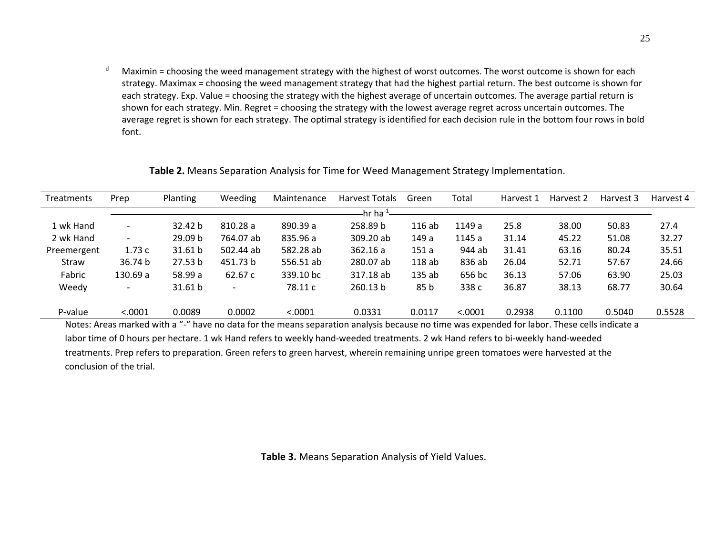$d$  Maximin = choosing the weed management strategy with the highest of worst outcomes. The worst outcome is shown for each strategy. Maximax = choosing the weed management strategy that had the highest partial return. The best outcome is shown for each strategy. Exp. Value = choosing the strategy with the highest average of uncertain outcomes. The average partial return is shown for each strategy. Min. Regret = choosing the strategy with the lowest average regret across uncertain outcomes. The average regret is shown for each strategy. The optimal strategy is identified for each decision rule in the bottom four rows in bold font.

| <b>Treatments</b> | Prep                     | Planting | Weeding                  | Maintenance | Harvest Totals | Green  | Total   | Harvest 1 | Harvest 2 | Harvest 3 | Harvest 4 |
|-------------------|--------------------------|----------|--------------------------|-------------|----------------|--------|---------|-----------|-----------|-----------|-----------|
|                   |                          |          |                          |             | hr ha $^{-1}$  |        |         |           |           |           |           |
| 1 wk Hand         | $\overline{\phantom{a}}$ | 32.42 b  | 810.28a                  | 890.39 a    | 258.89 b       | 116ab  | 1149 a  | 25.8      | 38.00     | 50.83     | 27.4      |
| 2 wk Hand         | $\overline{\phantom{0}}$ | 29.09 b  | 764.07 ab                | 835.96 a    | 309.20 ab      | 149 a  | 1145 a  | 31.14     | 45.22     | 51.08     | 32.27     |
| Preemergent       | 1.73c                    | 31.61 b  | 502.44 ab                | 582.28 ab   | 362.16a        | 151a   | 944 ab  | 31.41     | 63.16     | 80.24     | 35.51     |
| Straw             | 36.74 b                  | 27.53 b  | 451.73 b                 | 556.51 ab   | 280.07 ab      | 118ab  | 836 ab  | 26.04     | 52.71     | 57.67     | 24.66     |
| Fabric            | 130.69 a                 | 58.99 a  | 62.67 c                  | 339.10 bc   | 317.18 ab      | 135ab  | 656 bc  | 36.13     | 57.06     | 63.90     | 25.03     |
| Weedy             |                          | 31.61 b  | $\overline{\phantom{a}}$ | 78.11 c     | 260.13 b       | 85 b   | 338 c   | 36.87     | 38.13     | 68.77     | 30.64     |
| P-value           | < .0001                  | 0.0089   | 0.0002                   | < .0001     | 0.0331         | 0.0117 | < .0001 | 0.2938    | 0.1100    | 0.5040    | 0.5528    |

**Table 2.** Means Separation Analysis for Time for Weed Management Strategy Implementation.

Notes: Areas marked with a "-" have no data for the means separation analysis because no time was expended for labor. These cells indicate a labor time of 0 hours per hectare. 1 wk Hand refers to weekly hand-weeded treatments. 2 wk Hand refers to bi-weekly hand-weeded treatments. Prep refers to preparation. Green refers to green harvest, wherein remaining unripe green tomatoes were harvested at the conclusion of the trial.

**Table 3.** Means Separation Analysis of Yield Values.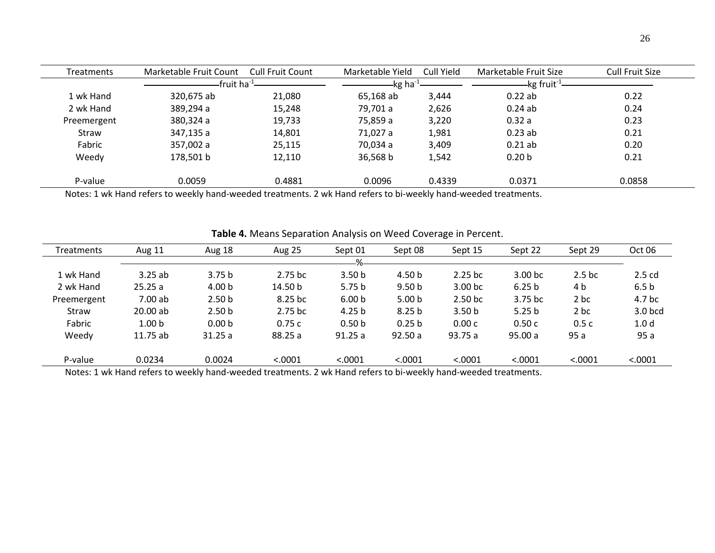| <b>Treatments</b> | Marketable Fruit Count | <b>Cull Fruit Count</b> | Marketable Yield     | Cull Yield | Marketable Fruit Size    | Cull Fruit Size |
|-------------------|------------------------|-------------------------|----------------------|------------|--------------------------|-----------------|
|                   | fruit ha $^{-1}$       |                         | -kg ha <sup>-1</sup> |            | $kg$ fruit <sup>-1</sup> |                 |
| 1 wk Hand         | 320,675 ab             | 21,080                  | 65,168 ab            | 3,444      | 0.22ab                   | 0.22            |
| 2 wk Hand         | 389,294 a              | 15,248                  | 79,701 a             | 2,626      | 0.24ab                   | 0.24            |
| Preemergent       | 380,324 a              | 19,733                  | 75,859 a             | 3,220      | 0.32a                    | 0.23            |
| Straw             | 347,135 a              | 14,801                  | 71,027 a             | 1,981      | $0.23$ ab                | 0.21            |
| Fabric            | 357,002 a              | 25,115                  | 70,034 a             | 3,409      | $0.21$ ab                | 0.20            |
| Weedy             | 178.501 b              | 12,110                  | 36,568 b             | 1,542      | 0.20 <sub>b</sub>        | 0.21            |
| P-value           | 0.0059                 | 0.4881                  | 0.0096               | 0.4339     | 0.0371                   | 0.0858          |

Notes: 1 wk Hand refers to weekly hand-weeded treatments. 2 wk Hand refers to bi-weekly hand-weeded treatments.

| <b>Treatments</b> | Aug 11            | Aug 18            | <b>Aug 25</b> | Sept 01           | Sept 08           | Sept 15            | Sept 22            | Sept 29            | Oct 06            |
|-------------------|-------------------|-------------------|---------------|-------------------|-------------------|--------------------|--------------------|--------------------|-------------------|
|                   |                   |                   |               | 0/2               |                   |                    |                    |                    |                   |
| 1 wk Hand         | 3.25ab            | 3.75 <sub>b</sub> | $2.75$ bc     | 3.50 <sub>b</sub> | 4.50 b            | $2.25$ bc          | 3.00 <sub>bc</sub> | 2.5 <sub>b</sub> c | $2.5$ cd          |
| 2 wk Hand         | 25.25a            | 4.00 <sub>b</sub> | 14.50 b       | 5.75 <sub>b</sub> | 9.50 <sub>b</sub> | 3.00 <sub>bc</sub> | 6.25 <sub>b</sub>  | 4 b                | 6.5 <sub>b</sub>  |
| Preemergent       | 7.00 ab           | 2.50 <sub>b</sub> | 8.25 bc       | 6.00 <sub>b</sub> | 5.00 <sub>b</sub> | 2.50 <sub>bc</sub> | 3.75 bc            | 2 bc               | 4.7 <sub>bc</sub> |
| Straw             | 20.00ab           | 2.50 <sub>b</sub> | $2.75$ bc     | 4.25 <sub>b</sub> | 8.25 <sub>b</sub> | 3.50 <sub>b</sub>  | 5.25 <sub>b</sub>  | 2 bc               | 3.0 bcd           |
| Fabric            | 1.00 <sub>b</sub> | 0.00 <sub>b</sub> | 0.75c         | 0.50 <sub>b</sub> | 0.25 <sub>b</sub> | 0.00c              | 0.50c              | 0.5c               | 1.0 <sub>d</sub>  |
| Weedy             | 11.75 ab          | 31.25a            | 88.25 a       | 91.25a            | 92.50a            | 93.75 a            | 95.00a             | 95 a               | 95a               |
|                   |                   |                   |               |                   |                   |                    |                    |                    |                   |
| P-value           | 0.0234            | 0.0024            | < .0001       | < .0001           | < .0001           | < .0001            | < .0001            | < .0001            | < .0001           |

**Table 4.** Means Separation Analysis on Weed Coverage in Percent.

Notes: 1 wk Hand refers to weekly hand-weeded treatments. 2 wk Hand refers to bi-weekly hand-weeded treatments.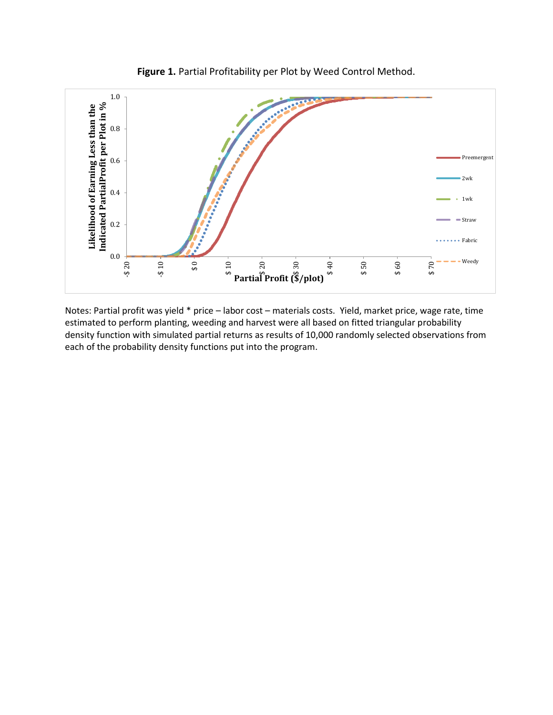

**Figure 1.** Partial Profitability per Plot by Weed Control Method.

Notes: Partial profit was yield \* price – labor cost – materials costs. Yield, market price, wage rate, time estimated to perform planting, weeding and harvest were all based on fitted triangular probability density function with simulated partial returns as results of 10,000 randomly selected observations from each of the probability density functions put into the program.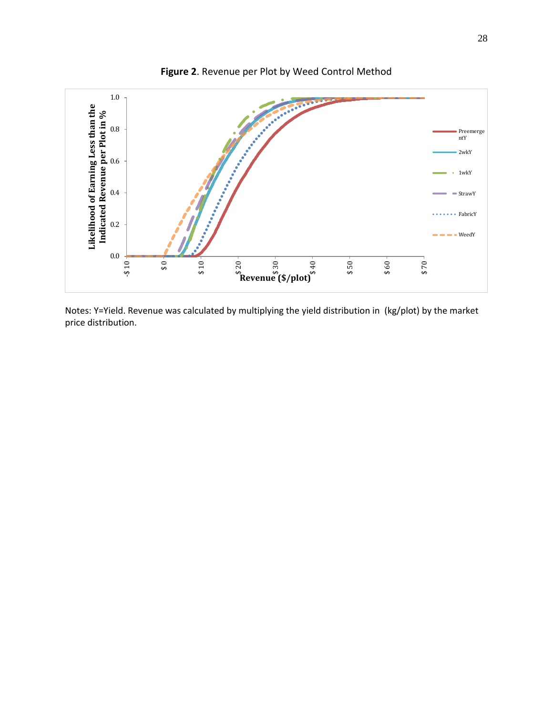

**Figure 2**. Revenue per Plot by Weed Control Method

Notes: Y=Yield. Revenue was calculated by multiplying the yield distribution in (kg/plot) by the market price distribution.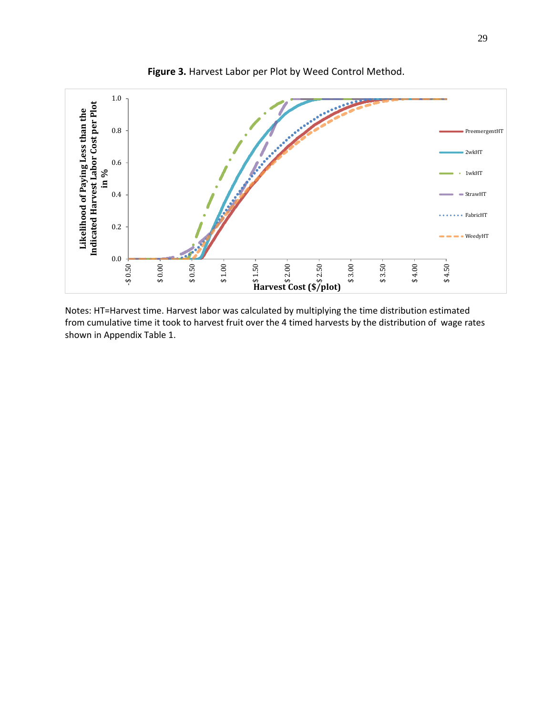

**Figure 3.** Harvest Labor per Plot by Weed Control Method.

Notes: HT=Harvest time. Harvest labor was calculated by multiplying the time distribution estimated from cumulative time it took to harvest fruit over the 4 timed harvests by the distribution of wage rates shown in Appendix Table 1.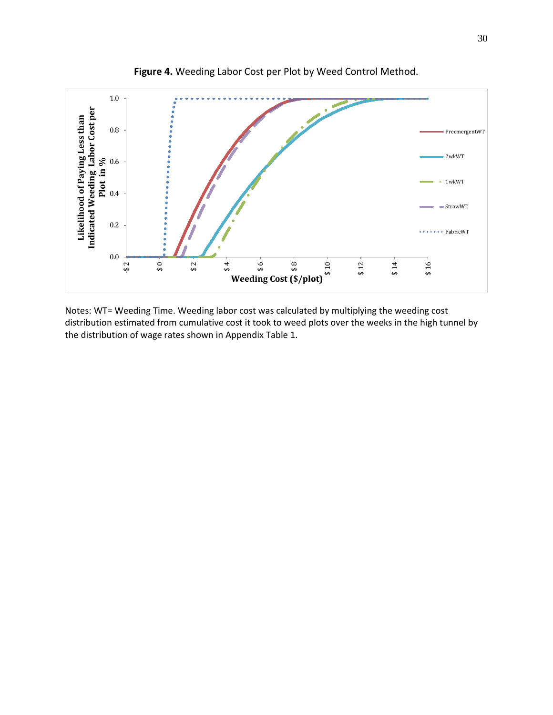

**Figure 4.** Weeding Labor Cost per Plot by Weed Control Method.

Notes: WT= Weeding Time. Weeding labor cost was calculated by multiplying the weeding cost distribution estimated from cumulative cost it took to weed plots over the weeks in the high tunnel by the distribution of wage rates shown in Appendix Table 1.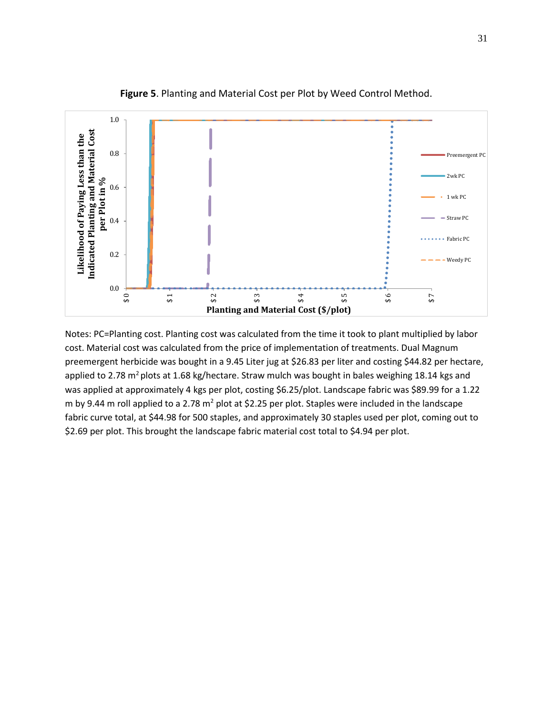

**Figure 5**. Planting and Material Cost per Plot by Weed Control Method.

Notes: PC=Planting cost. Planting cost was calculated from the time it took to plant multiplied by labor cost. Material cost was calculated from the price of implementation of treatments. Dual Magnum preemergent herbicide was bought in a 9.45 Liter jug at \$26.83 per liter and costing \$44.82 per hectare, applied to 2.78 m<sup>2</sup> plots at 1.68 kg/hectare. Straw mulch was bought in bales weighing 18.14 kgs and was applied at approximately 4 kgs per plot, costing \$6.25/plot. Landscape fabric was \$89.99 for a 1.22 m by 9.44 m roll applied to a 2.78  $m^2$  plot at \$2.25 per plot. Staples were included in the landscape fabric curve total, at \$44.98 for 500 staples, and approximately 30 staples used per plot, coming out to \$2.69 per plot. This brought the landscape fabric material cost total to \$4.94 per plot.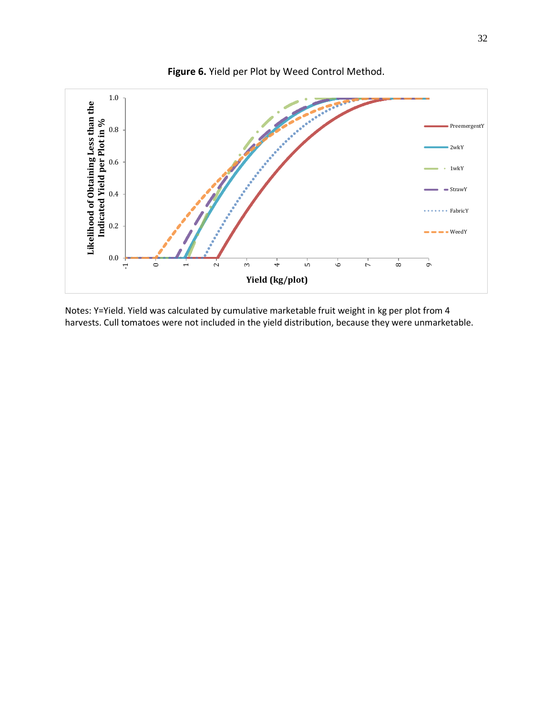

Notes: Y=Yield. Yield was calculated by cumulative marketable fruit weight in kg per plot from 4 harvests. Cull tomatoes were not included in the yield distribution, because they were unmarketable.

**Figure 6.** Yield per Plot by Weed Control Method.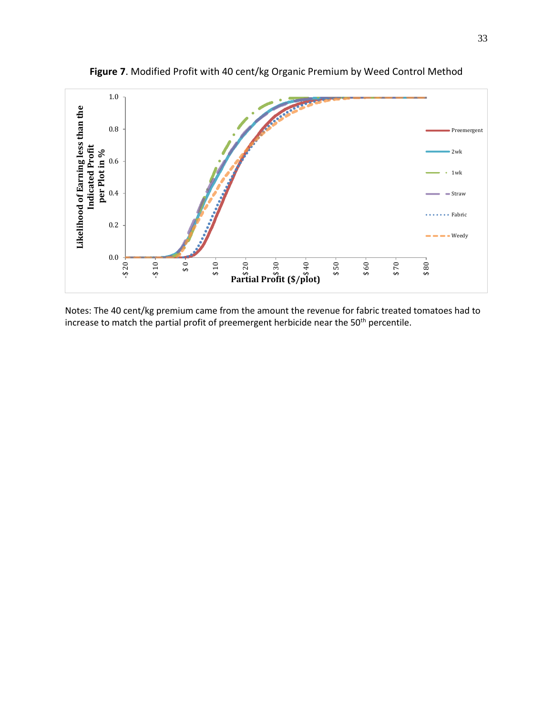

**Figure 7**. Modified Profit with 40 cent/kg Organic Premium by Weed Control Method

Notes: The 40 cent/kg premium came from the amount the revenue for fabric treated tomatoes had to increase to match the partial profit of preemergent herbicide near the 50<sup>th</sup> percentile.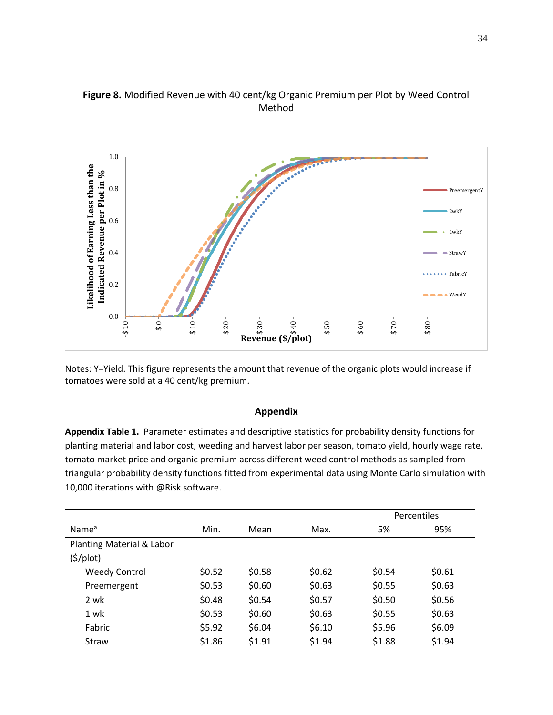



Notes: Y=Yield. This figure represents the amount that revenue of the organic plots would increase if tomatoes were sold at a 40 cent/kg premium.

#### **Appendix**

<span id="page-34-0"></span>**Appendix Table 1.** Parameter estimates and descriptive statistics for probability density functions for planting material and labor cost, weeding and harvest labor per season, tomato yield, hourly wage rate, tomato market price and organic premium across different weed control methods as sampled from triangular probability density functions fitted from experimental data using Monte Carlo simulation with 10,000 iterations with @Risk software.

|                             |        |        |        |        | Percentiles |
|-----------------------------|--------|--------|--------|--------|-------------|
| Name <sup>a</sup>           | Min.   | Mean   | Max.   | 5%     | 95%         |
| Planting Material & Labor   |        |        |        |        |             |
| $(\frac{\xi}{\text{plot}})$ |        |        |        |        |             |
| <b>Weedy Control</b>        | \$0.52 | \$0.58 | \$0.62 | \$0.54 | \$0.61      |
| Preemergent                 | \$0.53 | \$0.60 | \$0.63 | \$0.55 | \$0.63      |
| 2 wk                        | \$0.48 | \$0.54 | \$0.57 | \$0.50 | \$0.56      |
| 1 wk                        | \$0.53 | \$0.60 | \$0.63 | \$0.55 | \$0.63      |
| Fabric                      | \$5.92 | \$6.04 | \$6.10 | \$5.96 | \$6.09      |
| Straw                       | \$1.86 | \$1.91 | \$1.94 | \$1.88 | \$1.94      |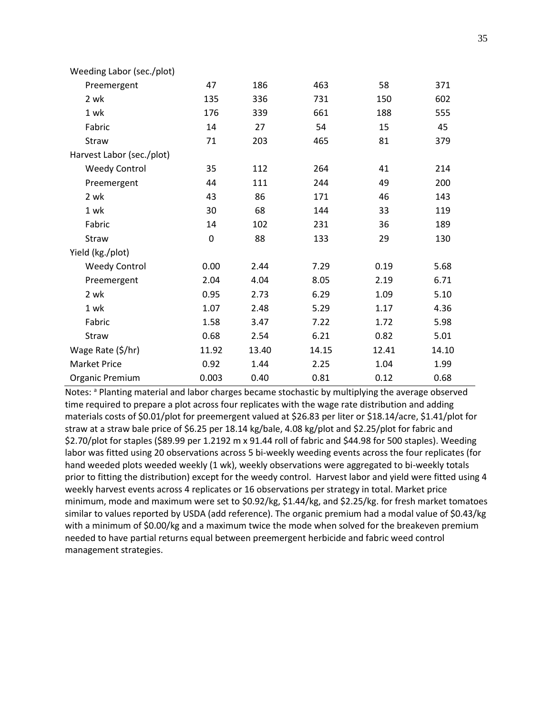| Weeding Labor (sec./plot) |       |       |       |       |       |
|---------------------------|-------|-------|-------|-------|-------|
| Preemergent               | 47    | 186   | 463   | 58    | 371   |
| 2 wk                      | 135   | 336   | 731   | 150   | 602   |
| 1 wk                      | 176   | 339   | 661   | 188   | 555   |
| Fabric                    | 14    | 27    | 54    | 15    | 45    |
| Straw                     | 71    | 203   | 465   | 81    | 379   |
| Harvest Labor (sec./plot) |       |       |       |       |       |
| <b>Weedy Control</b>      | 35    | 112   | 264   | 41    | 214   |
| Preemergent               | 44    | 111   | 244   | 49    | 200   |
| 2 wk                      | 43    | 86    | 171   | 46    | 143   |
| 1 wk                      | 30    | 68    | 144   | 33    | 119   |
| Fabric                    | 14    | 102   | 231   | 36    | 189   |
| Straw                     | 0     | 88    | 133   | 29    | 130   |
| Yield (kg./plot)          |       |       |       |       |       |
| <b>Weedy Control</b>      | 0.00  | 2.44  | 7.29  | 0.19  | 5.68  |
| Preemergent               | 2.04  | 4.04  | 8.05  | 2.19  | 6.71  |
| 2 wk                      | 0.95  | 2.73  | 6.29  | 1.09  | 5.10  |
| 1 wk                      | 1.07  | 2.48  | 5.29  | 1.17  | 4.36  |
| Fabric                    | 1.58  | 3.47  | 7.22  | 1.72  | 5.98  |
| Straw                     | 0.68  | 2.54  | 6.21  | 0.82  | 5.01  |
| Wage Rate (\$/hr)         | 11.92 | 13.40 | 14.15 | 12.41 | 14.10 |
| <b>Market Price</b>       | 0.92  | 1.44  | 2.25  | 1.04  | 1.99  |
| Organic Premium           | 0.003 | 0.40  | 0.81  | 0.12  | 0.68  |

Notes: a Planting material and labor charges became stochastic by multiplying the average observed time required to prepare a plot across four replicates with the wage rate distribution and adding materials costs of \$0.01/plot for preemergent valued at \$26.83 per liter or \$18.14/acre, \$1.41/plot for straw at a straw bale price of \$6.25 per 18.14 kg/bale, 4.08 kg/plot and \$2.25/plot for fabric and \$2.70/plot for staples (\$89.99 per 1.2192 m x 91.44 roll of fabric and \$44.98 for 500 staples). Weeding labor was fitted using 20 observations across 5 bi-weekly weeding events across the four replicates (for hand weeded plots weeded weekly (1 wk), weekly observations were aggregated to bi-weekly totals prior to fitting the distribution) except for the weedy control. Harvest labor and yield were fitted using 4 weekly harvest events across 4 replicates or 16 observations per strategy in total. Market price minimum, mode and maximum were set to \$0.92/kg, \$1.44/kg, and \$2.25/kg. for fresh market tomatoes similar to values reported by USDA (add reference). The organic premium had a modal value of \$0.43/kg with a minimum of \$0.00/kg and a maximum twice the mode when solved for the breakeven premium needed to have partial returns equal between preemergent herbicide and fabric weed control management strategies.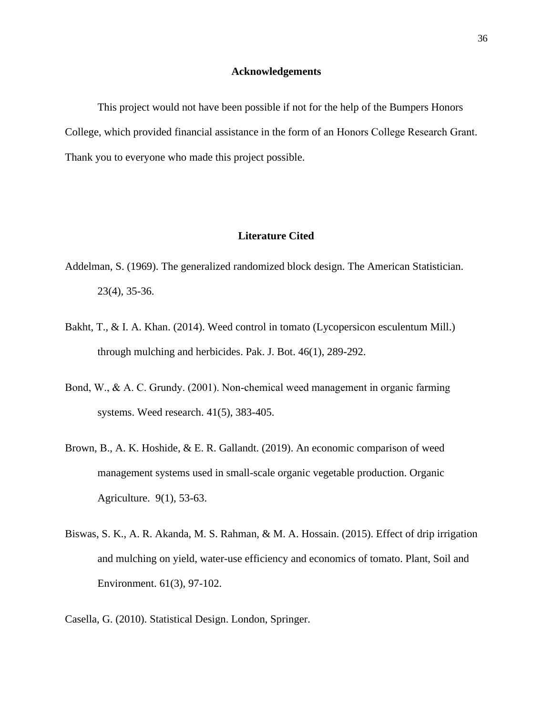#### **Acknowledgements**

<span id="page-36-0"></span>This project would not have been possible if not for the help of the Bumpers Honors College, which provided financial assistance in the form of an Honors College Research Grant. Thank you to everyone who made this project possible.

#### **Literature Cited**

- <span id="page-36-1"></span>Addelman, S. (1969). The generalized randomized block design. The American Statistician. 23(4), 35-36.
- Bakht, T., & I. A. Khan. (2014). Weed control in tomato (Lycopersicon esculentum Mill.) through mulching and herbicides. Pak. J. Bot. 46(1), 289-292.
- Bond, W., & A. C. Grundy. (2001). Non-chemical weed management in organic farming systems. Weed research. 41(5), 383-405.
- Brown, B., A. K. Hoshide, & E. R. Gallandt. (2019). An economic comparison of weed management systems used in small-scale organic vegetable production. Organic Agriculture. 9(1), 53-63.
- Biswas, S. K., A. R. Akanda, M. S. Rahman, & M. A. Hossain. (2015). Effect of drip irrigation and mulching on yield, water-use efficiency and economics of tomato. Plant, Soil and Environment. 61(3), 97-102.
- Casella, G. (2010). Statistical Design. London, Springer.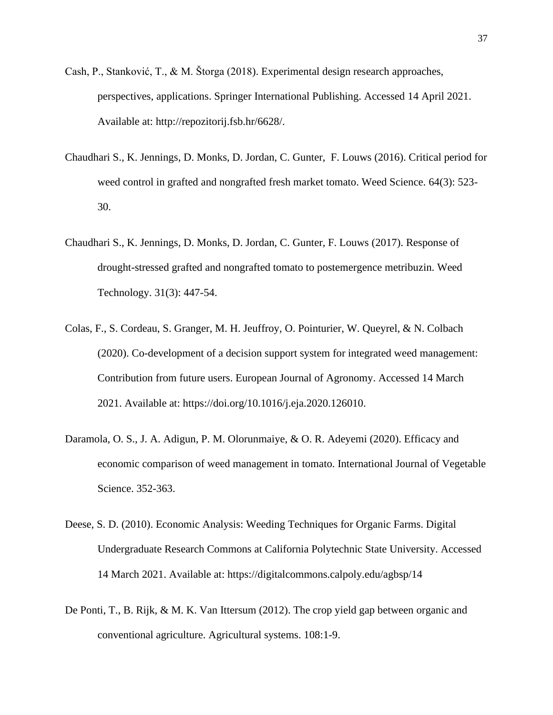- Cash, P., Stanković, T., & M. Štorga (2018). Experimental design research approaches, perspectives, applications. Springer International Publishing. Accessed 14 April 2021. Available at: http://repozitorij.fsb.hr/6628/.
- Chaudhari S., K. Jennings, D. Monks, D. Jordan, C. Gunter, F. Louws (2016). Critical period for weed control in grafted and nongrafted fresh market tomato. Weed Science. 64(3): 523- 30.
- Chaudhari S., K. Jennings, D. Monks, D. Jordan, C. Gunter, F. Louws (2017). Response of drought-stressed grafted and nongrafted tomato to postemergence metribuzin. Weed Technology. 31(3): 447-54.
- Colas, F., S. Cordeau, S. Granger, M. H. Jeuffroy, O. Pointurier, W. Queyrel, & N. Colbach (2020). Co-development of a decision support system for integrated weed management: Contribution from future users. European Journal of Agronomy. Accessed 14 March 2021. Available at: [https://doi.org/10.1016/j.eja.2020.126010.](https://doi.org/10.1016/j.eja.2020.126010)
- Daramola, O. S., J. A. Adigun, P. M. Olorunmaiye, & O. R. Adeyemi (2020). Efficacy and economic comparison of weed management in tomato. International Journal of Vegetable Science. 352-363.
- Deese, S. D. (2010). Economic Analysis: Weeding Techniques for Organic Farms. Digital Undergraduate Research Commons at California Polytechnic State University. Accessed 14 March 2021. Available at: https://digitalcommons.calpoly.edu/agbsp/14
- De Ponti, T., B. Rijk, & M. K. Van Ittersum (2012). The crop yield gap between organic and conventional agriculture. Agricultural systems. 108:1-9.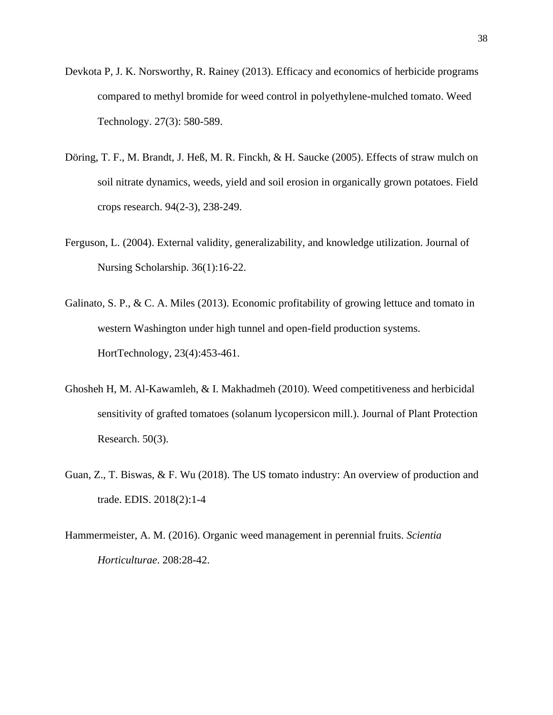- Devkota P, J. K. Norsworthy, R. Rainey (2013). Efficacy and economics of herbicide programs compared to methyl bromide for weed control in polyethylene-mulched tomato. Weed Technology. 27(3): 580-589.
- Döring, T. F., M. Brandt, J. Heß, M. R. Finckh, & H. Saucke (2005). Effects of straw mulch on soil nitrate dynamics, weeds, yield and soil erosion in organically grown potatoes. Field crops research. 94(2-3), 238-249.
- Ferguson, L. (2004). External validity, generalizability, and knowledge utilization. Journal of Nursing Scholarship. 36(1):16-22.
- Galinato, S. P., & C. A. Miles (2013). Economic profitability of growing lettuce and tomato in western Washington under high tunnel and open-field production systems. HortTechnology, 23(4):453-461.
- Ghosheh H, M. Al-Kawamleh, & I. Makhadmeh (2010). Weed competitiveness and herbicidal sensitivity of grafted tomatoes (solanum lycopersicon mill.). Journal of Plant Protection Research. 50(3).
- Guan, Z., T. Biswas, & F. Wu (2018). The US tomato industry: An overview of production and trade. EDIS. 2018(2):1-4
- Hammermeister, A. M. (2016). Organic weed management in perennial fruits. *Scientia Horticulturae*. 208:28-42.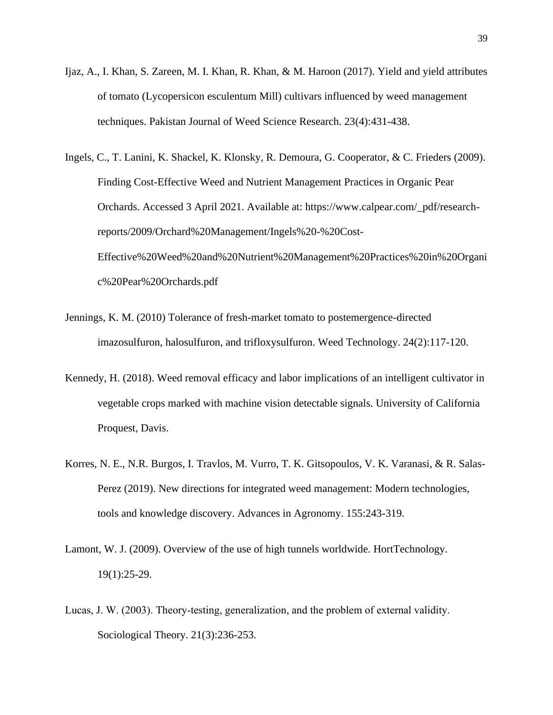- Ijaz, A., I. Khan, S. Zareen, M. I. Khan, R. Khan, & M. Haroon (2017). Yield and yield attributes of tomato (Lycopersicon esculentum Mill) cultivars influenced by weed management techniques. Pakistan Journal of Weed Science Research. 23(4):431-438.
- Ingels, C., T. Lanini, K. Shackel, K. Klonsky, R. Demoura, G. Cooperator, & C. Frieders (2009). Finding Cost-Effective Weed and Nutrient Management Practices in Organic Pear Orchards. Accessed 3 April 2021. Available at: https://www.calpear.com/\_pdf/researchreports/2009/Orchard%20Management/Ingels%20-%20Cost-Effective%20Weed%20and%20Nutrient%20Management%20Practices%20in%20Organi c%20Pear%20Orchards.pdf
- Jennings, K. M. (2010) Tolerance of fresh-market tomato to postemergence-directed imazosulfuron, halosulfuron, and trifloxysulfuron. Weed Technology. 24(2):117-120.
- Kennedy, H. (2018). Weed removal efficacy and labor implications of an intelligent cultivator in vegetable crops marked with machine vision detectable signals. University of California Proquest, Davis.
- Korres, N. E., N.R. Burgos, I. Travlos, M. Vurro, T. K. Gitsopoulos, V. K. Varanasi, & R. Salas-Perez (2019). New directions for integrated weed management: Modern technologies, tools and knowledge discovery. Advances in Agronomy. 155:243-319.
- Lamont, W. J. (2009). Overview of the use of high tunnels worldwide. HortTechnology. 19(1):25-29.
- Lucas, J. W. (2003). Theory‐testing, generalization, and the problem of external validity. Sociological Theory. 21(3):236-253.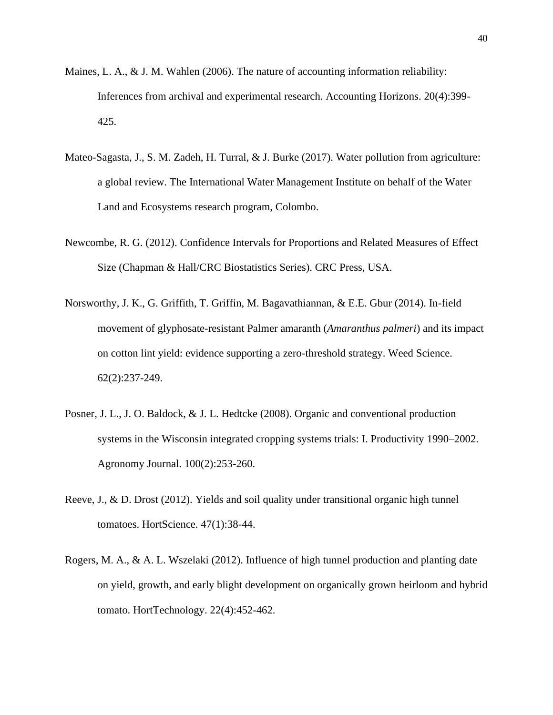- Maines, L. A., & J. M. Wahlen (2006). The nature of accounting information reliability: Inferences from archival and experimental research. Accounting Horizons. 20(4):399- 425.
- Mateo-Sagasta, J., S. M. Zadeh, H. Turral, & J. Burke (2017). Water pollution from agriculture: a global review. The International Water Management Institute on behalf of the Water Land and Ecosystems research program, Colombo.
- Newcombe, R. G. (2012). Confidence Intervals for Proportions and Related Measures of Effect Size (Chapman & Hall/CRC Biostatistics Series). CRC Press, USA.
- Norsworthy, J. K., G. Griffith, T. Griffin, M. Bagavathiannan, & E.E. Gbur (2014). In-field movement of glyphosate-resistant Palmer amaranth (*Amaranthus palmeri*) and its impact on cotton lint yield: evidence supporting a zero-threshold strategy. Weed Science. 62(2):237-249.
- Posner, J. L., J. O. Baldock, & J. L. Hedtcke (2008). Organic and conventional production systems in the Wisconsin integrated cropping systems trials: I. Productivity 1990–2002. Agronomy Journal. 100(2):253-260.
- Reeve, J., & D. Drost (2012). Yields and soil quality under transitional organic high tunnel tomatoes. HortScience. 47(1):38-44.
- Rogers, M. A., & A. L. Wszelaki (2012). Influence of high tunnel production and planting date on yield, growth, and early blight development on organically grown heirloom and hybrid tomato. HortTechnology. 22(4):452-462.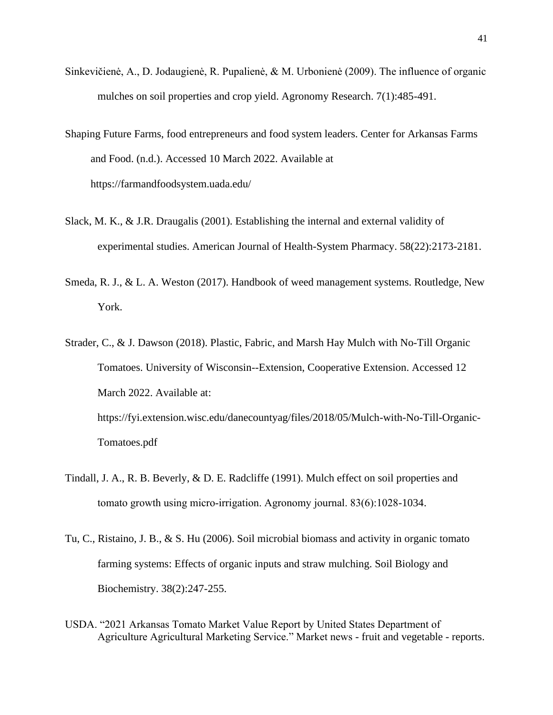- Sinkevičienė, A., D. Jodaugienė, R. Pupalienė, & M. Urbonienė (2009). The influence of organic mulches on soil properties and crop yield. Agronomy Research. 7(1):485-491.
- Shaping Future Farms, food entrepreneurs and food system leaders. Center for Arkansas Farms and Food. (n.d.). Accessed 10 March 2022. Available at https://farmandfoodsystem.uada.edu/
- Slack, M. K., & J.R. Draugalis (2001). Establishing the internal and external validity of experimental studies. American Journal of Health-System Pharmacy. 58(22):2173-2181.
- Smeda, R. J., & L. A. Weston (2017). Handbook of weed management systems. Routledge, New York.
- Strader, C., & J. Dawson (2018). Plastic, Fabric, and Marsh Hay Mulch with No-Till Organic Tomatoes. University of Wisconsin--Extension, Cooperative Extension. Accessed 12 March 2022. Available at: https://fyi.extension.wisc.edu/danecountyag/files/2018/05/Mulch-with-No-Till-Organic-Tomatoes.pdf
- Tindall, J. A., R. B. Beverly, & D. E. Radcliffe (1991). Mulch effect on soil properties and tomato growth using micro‐irrigation. Agronomy journal. 83(6):1028-1034.
- Tu, C., Ristaino, J. B., & S. Hu (2006). Soil microbial biomass and activity in organic tomato farming systems: Effects of organic inputs and straw mulching. Soil Biology and Biochemistry. 38(2):247-255.
- USDA. "2021 Arkansas Tomato Market Value Report by United States Department of Agriculture Agricultural Marketing Service." Market news - fruit and vegetable - reports.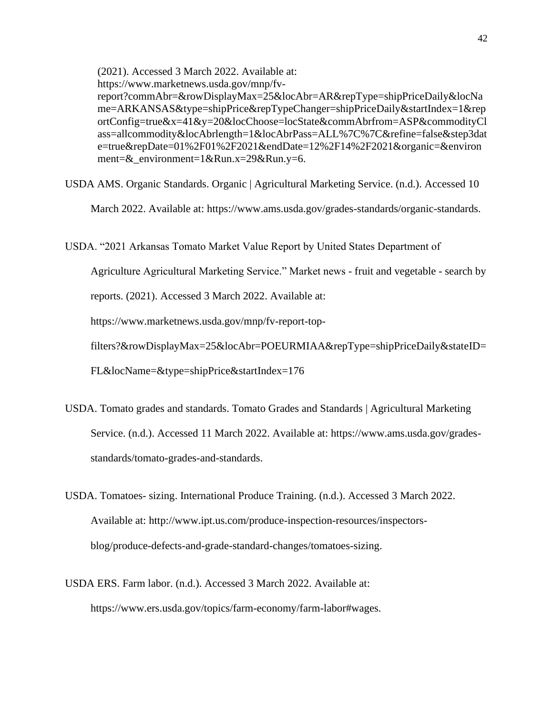(2021). Accessed 3 March 2022. Available at: https://www.marketnews.usda.gov/mnp/fvreport?commAbr=&rowDisplayMax=25&locAbr=AR&repType=shipPriceDaily&locNa me=ARKANSAS&type=shipPrice&repTypeChanger=shipPriceDaily&startIndex=1&rep ortConfig=true&x=41&y=20&locChoose=locState&commAbrfrom=ASP&commodityCl ass=allcommodity&locAbrlength=1&locAbrPass=ALL%7C%7C&refine=false&step3dat e=true&repDate=01%2F01%2F2021&endDate=12%2F14%2F2021&organic=&environ ment=&\_environment=1&Run.x=29&Run.y=6.

USDA AMS. Organic Standards. Organic | Agricultural Marketing Service. (n.d.). Accessed 10

March 2022. Available at: https://www.ams.usda.gov/grades-standards/organic-standards.

USDA. "2021 Arkansas Tomato Market Value Report by United States Department of

Agriculture Agricultural Marketing Service." Market news - fruit and vegetable - search by

reports. (2021). Accessed 3 March 2022. Available at:

https://www.marketnews.usda.gov/mnp/fv-report-top-

filters?&rowDisplayMax=25&locAbr=POEURMIAA&repType=shipPriceDaily&stateID=

FL&locName=&type=shipPrice&startIndex=176

- USDA. Tomato grades and standards. Tomato Grades and Standards | Agricultural Marketing Service. (n.d.). Accessed 11 March 2022. Available at: https://www.ams.usda.gov/gradesstandards/tomato-grades-and-standards.
- USDA. Tomatoes- sizing. International Produce Training. (n.d.). Accessed 3 March 2022. Available at: http://www.ipt.us.com/produce-inspection-resources/inspectorsblog/produce-defects-and-grade-standard-changes/tomatoes-sizing.
- USDA ERS. Farm labor. (n.d.). Accessed 3 March 2022. Available at: https://www.ers.usda.gov/topics/farm-economy/farm-labor#wages.